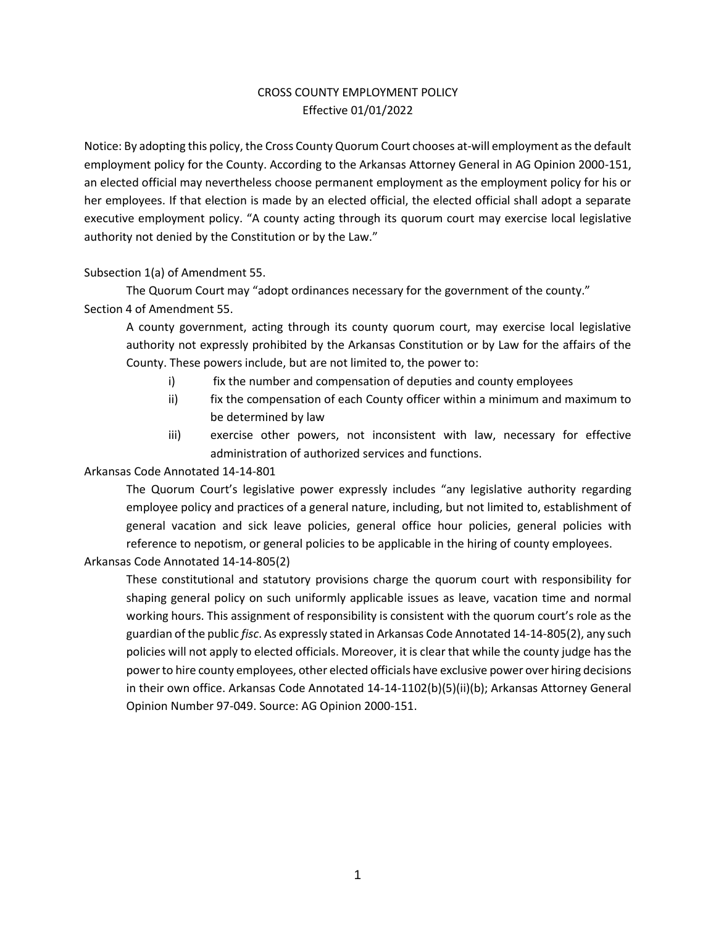# CROSS COUNTY EMPLOYMENT POLICY Effective 01/01/2022

Notice: By adopting this policy, the Cross County Quorum Court chooses at-will employment as the default employment policy for the County. According to the Arkansas Attorney General in AG Opinion 2000-151, an elected official may nevertheless choose permanent employment as the employment policy for his or her employees. If that election is made by an elected official, the elected official shall adopt a separate executive employment policy. "A county acting through its quorum court may exercise local legislative authority not denied by the Constitution or by the Law."

### Subsection 1(a) of Amendment 55.

The Quorum Court may "adopt ordinances necessary for the government of the county." Section 4 of Amendment 55.

A county government, acting through its county quorum court, may exercise local legislative authority not expressly prohibited by the Arkansas Constitution or by Law for the affairs of the County. These powers include, but are not limited to, the power to:

- i) fix the number and compensation of deputies and county employees
- ii) fix the compensation of each County officer within a minimum and maximum to be determined by law
- iii) exercise other powers, not inconsistent with law, necessary for effective administration of authorized services and functions.

#### Arkansas Code Annotated 14-14-801

The Quorum Court's legislative power expressly includes "any legislative authority regarding employee policy and practices of a general nature, including, but not limited to, establishment of general vacation and sick leave policies, general office hour policies, general policies with reference to nepotism, or general policies to be applicable in the hiring of county employees.

#### Arkansas Code Annotated 14-14-805(2)

These constitutional and statutory provisions charge the quorum court with responsibility for shaping general policy on such uniformly applicable issues as leave, vacation time and normal working hours. This assignment of responsibility is consistent with the quorum court's role as the guardian of the public *fisc*. As expressly stated in Arkansas Code Annotated 14-14-805(2), any such policies will not apply to elected officials. Moreover, it is clear that while the county judge has the power to hire county employees, other elected officials have exclusive power over hiring decisions in their own office. Arkansas Code Annotated 14-14-1102(b)(5)(ii)(b); Arkansas Attorney General Opinion Number 97-049. Source: AG Opinion 2000-151.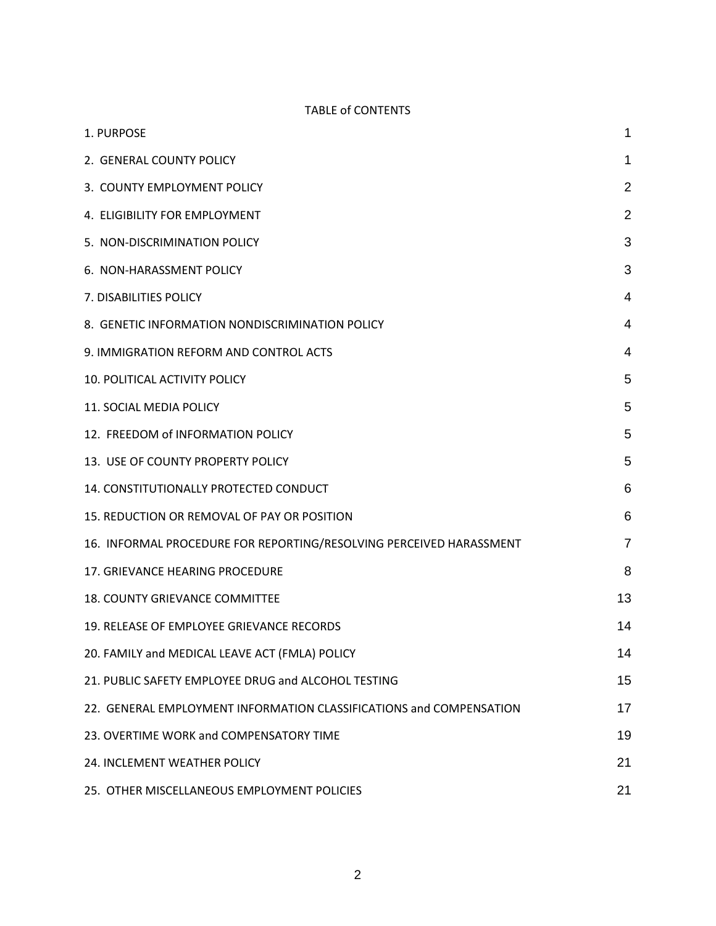# TABLE of CONTENTS

| 1. PURPOSE                                                          | 1              |
|---------------------------------------------------------------------|----------------|
| 2. GENERAL COUNTY POLICY                                            | 1              |
| 3. COUNTY EMPLOYMENT POLICY                                         | $\overline{2}$ |
| 4. ELIGIBILITY FOR EMPLOYMENT                                       | 2              |
| 5. NON-DISCRIMINATION POLICY                                        | 3              |
| 6. NON-HARASSMENT POLICY                                            | 3              |
| 7. DISABILITIES POLICY                                              | 4              |
| 8. GENETIC INFORMATION NONDISCRIMINATION POLICY                     | 4              |
| 9. IMMIGRATION REFORM AND CONTROL ACTS                              | 4              |
| <b>10. POLITICAL ACTIVITY POLICY</b>                                | 5              |
| 11. SOCIAL MEDIA POLICY                                             | 5              |
| 12. FREEDOM of INFORMATION POLICY                                   | 5              |
| 13. USE OF COUNTY PROPERTY POLICY                                   | 5              |
| 14. CONSTITUTIONALLY PROTECTED CONDUCT                              | 6              |
| 15. REDUCTION OR REMOVAL OF PAY OR POSITION                         | 6              |
| 16. INFORMAL PROCEDURE FOR REPORTING/RESOLVING PERCEIVED HARASSMENT | $\overline{7}$ |
| 17. GRIEVANCE HEARING PROCEDURE                                     | 8              |
| <b>18. COUNTY GRIEVANCE COMMITTEE</b>                               | 13             |
| 19. RELEASE OF EMPLOYEE GRIEVANCE RECORDS                           | 14             |
| 20. FAMILY and MEDICAL LEAVE ACT (FMLA) POLICY                      | 14             |
| 21. PUBLIC SAFETY EMPLOYEE DRUG and ALCOHOL TESTING                 | 15             |
| 22. GENERAL EMPLOYMENT INFORMATION CLASSIFICATIONS and COMPENSATION | 17             |
| 23. OVERTIME WORK and COMPENSATORY TIME                             | 19             |
| 24. INCLEMENT WEATHER POLICY                                        | 21             |
| 25. OTHER MISCELLANEOUS EMPLOYMENT POLICIES                         | 21             |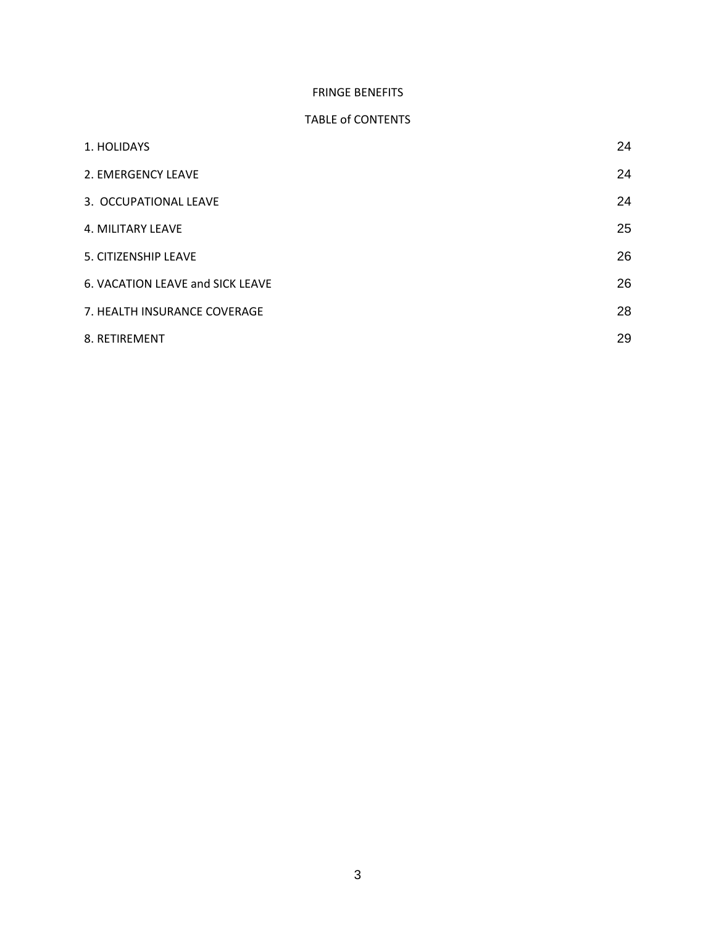# FRINGE BENEFITS

### TABLE of CONTENTS

| 1. HOLIDAYS                      | 24 |
|----------------------------------|----|
| 2. EMERGENCY LEAVE               | 24 |
| 3. OCCUPATIONAL LEAVE            | 24 |
| 4. MILITARY LEAVE                | 25 |
| 5. CITIZENSHIP LEAVE             | 26 |
| 6. VACATION LEAVE and SICK LEAVE | 26 |
| 7. HEALTH INSURANCE COVERAGE     | 28 |
| 8. RETIREMENT                    | 29 |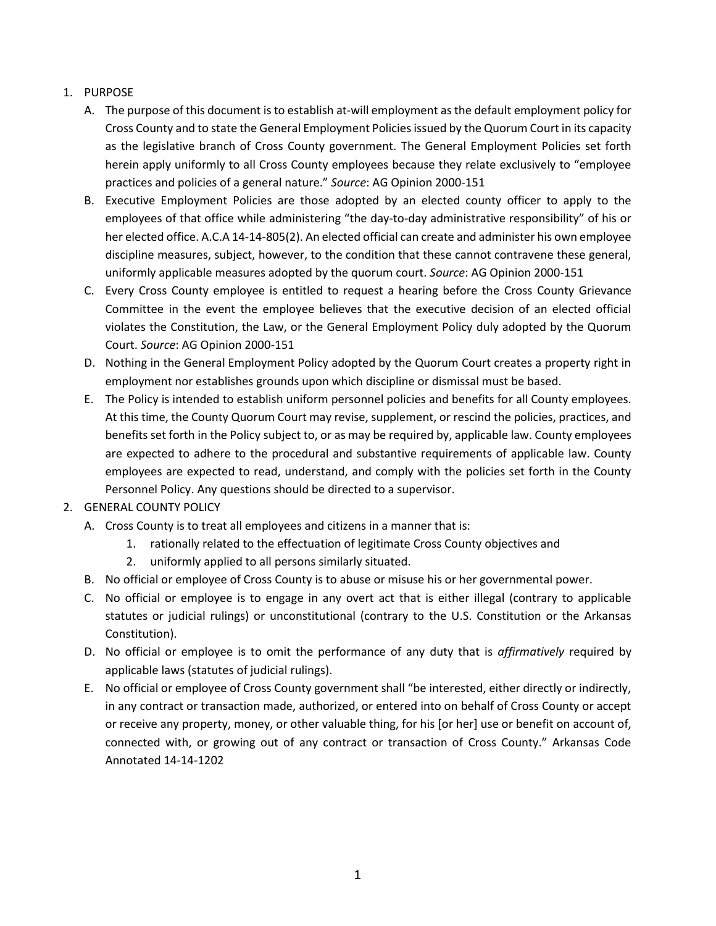# <span id="page-3-0"></span>1. PURPOSE

- A. The purpose of this document is to establish at-will employment as the default employment policy for Cross County and to state the General Employment Policies issued by the Quorum Court in its capacity as the legislative branch of Cross County government. The General Employment Policies set forth herein apply uniformly to all Cross County employees because they relate exclusively to "employee practices and policies of a general nature." *Source*: AG Opinion 2000-151
- B. Executive Employment Policies are those adopted by an elected county officer to apply to the employees of that office while administering "the day-to-day administrative responsibility" of his or her elected office. A.C.A 14-14-805(2). An elected official can create and administer his own employee discipline measures, subject, however, to the condition that these cannot contravene these general, uniformly applicable measures adopted by the quorum court. *Source*: AG Opinion 2000-151
- C. Every Cross County employee is entitled to request a hearing before the Cross County Grievance Committee in the event the employee believes that the executive decision of an elected official violates the Constitution, the Law, or the General Employment Policy duly adopted by the Quorum Court. *Source*: AG Opinion 2000-151
- D. Nothing in the General Employment Policy adopted by the Quorum Court creates a property right in employment nor establishes grounds upon which discipline or dismissal must be based.
- E. The Policy is intended to establish uniform personnel policies and benefits for all County employees. At this time, the County Quorum Court may revise, supplement, or rescind the policies, practices, and benefits set forth in the Policy subject to, or as may be required by, applicable law. County employees are expected to adhere to the procedural and substantive requirements of applicable law. County employees are expected to read, understand, and comply with the policies set forth in the County Personnel Policy. Any questions should be directed to a supervisor.

## <span id="page-3-1"></span>2. GENERAL COUNTY POLICY

- A. Cross County is to treat all employees and citizens in a manner that is:
	- 1. rationally related to the effectuation of legitimate Cross County objectives and
	- 2. uniformly applied to all persons similarly situated.
- B. No official or employee of Cross County is to abuse or misuse his or her governmental power.
- C. No official or employee is to engage in any overt act that is either illegal (contrary to applicable statutes or judicial rulings) or unconstitutional (contrary to the U.S. Constitution or the Arkansas Constitution).
- D. No official or employee is to omit the performance of any duty that is *affirmatively* required by applicable laws (statutes of judicial rulings).
- E. No official or employee of Cross County government shall "be interested, either directly or indirectly, in any contract or transaction made, authorized, or entered into on behalf of Cross County or accept or receive any property, money, or other valuable thing, for his [or her] use or benefit on account of, connected with, or growing out of any contract or transaction of Cross County." Arkansas Code Annotated 14-14-1202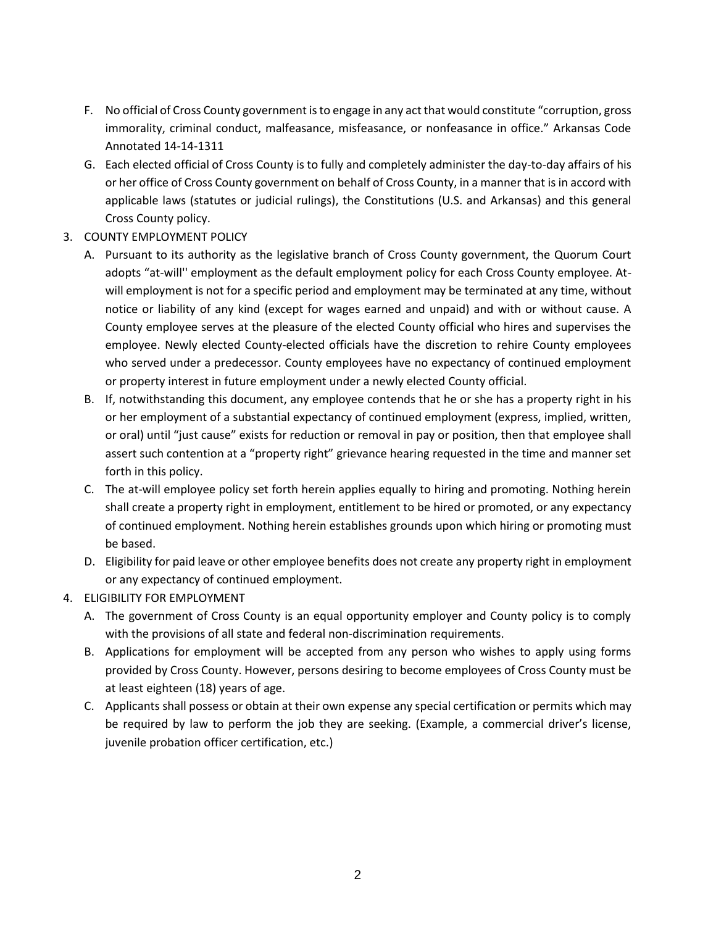- F. No official of Cross County government is to engage in any act that would constitute "corruption, gross immorality, criminal conduct, malfeasance, misfeasance, or nonfeasance in office." Arkansas Code Annotated 14-14-1311
- G. Each elected official of Cross County is to fully and completely administer the day-to-day affairs of his or her office of Cross County government on behalf of Cross County, in a manner that is in accord with applicable laws (statutes or judicial rulings), the Constitutions (U.S. and Arkansas) and this general Cross County policy.
- <span id="page-4-0"></span>3. COUNTY EMPLOYMENT POLICY
	- A. Pursuant to its authority as the legislative branch of Cross County government, the Quorum Court adopts "at-will'' employment as the default employment policy for each Cross County employee. Atwill employment is not for a specific period and employment may be terminated at any time, without notice or liability of any kind (except for wages earned and unpaid) and with or without cause. A County employee serves at the pleasure of the elected County official who hires and supervises the employee. Newly elected County-elected officials have the discretion to rehire County employees who served under a predecessor. County employees have no expectancy of continued employment or property interest in future employment under a newly elected County official.
	- B. If, notwithstanding this document, any employee contends that he or she has a property right in his or her employment of a substantial expectancy of continued employment (express, implied, written, or oral) until "just cause" exists for reduction or removal in pay or position, then that employee shall assert such contention at a "property right" grievance hearing requested in the time and manner set forth in this policy.
	- C. The at-will employee policy set forth herein applies equally to hiring and promoting. Nothing herein shall create a property right in employment, entitlement to be hired or promoted, or any expectancy of continued employment. Nothing herein establishes grounds upon which hiring or promoting must be based.
	- D. Eligibility for paid leave or other employee benefits does not create any property right in employment or any expectancy of continued employment.
- <span id="page-4-1"></span>4. ELIGIBILITY FOR EMPLOYMENT
	- A. The government of Cross County is an equal opportunity employer and County policy is to comply with the provisions of all state and federal non-discrimination requirements.
	- B. Applications for employment will be accepted from any person who wishes to apply using forms provided by Cross County. However, persons desiring to become employees of Cross County must be at least eighteen (18) years of age.
	- C. Applicants shall possess or obtain at their own expense any special certification or permits which may be required by law to perform the job they are seeking. (Example, a commercial driver's license, juvenile probation officer certification, etc.)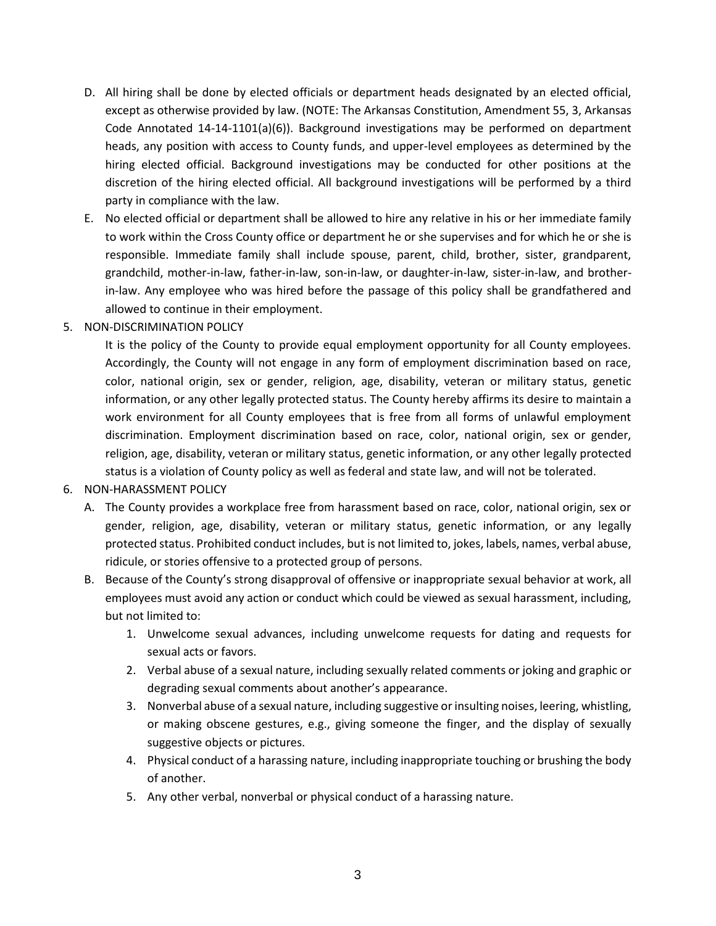- D. All hiring shall be done by elected officials or department heads designated by an elected official, except as otherwise provided by law. (NOTE: The Arkansas Constitution, Amendment 55, 3, Arkansas Code Annotated 14-14-1101(a)(6)). Background investigations may be performed on department heads, any position with access to County funds, and upper-level employees as determined by the hiring elected official. Background investigations may be conducted for other positions at the discretion of the hiring elected official. All background investigations will be performed by a third party in compliance with the law.
- E. No elected official or department shall be allowed to hire any relative in his or her immediate family to work within the Cross County office or department he or she supervises and for which he or she is responsible. Immediate family shall include spouse, parent, child, brother, sister, grandparent, grandchild, mother-in-law, father-in-law, son-in-law, or daughter-in-law, sister-in-law, and brotherin-law. Any employee who was hired before the passage of this policy shall be grandfathered and allowed to continue in their employment.
- <span id="page-5-0"></span>5. NON-DISCRIMINATION POLICY

It is the policy of the County to provide equal employment opportunity for all County employees. Accordingly, the County will not engage in any form of employment discrimination based on race, color, national origin, sex or gender, religion, age, disability, veteran or military status, genetic information, or any other legally protected status. The County hereby affirms its desire to maintain a work environment for all County employees that is free from all forms of unlawful employment discrimination. Employment discrimination based on race, color, national origin, sex or gender, religion, age, disability, veteran or military status, genetic information, or any other legally protected status is a violation of County policy as well as federal and state law, and will not be tolerated.

#### <span id="page-5-1"></span>6. NON-HARASSMENT POLICY

- A. The County provides a workplace free from harassment based on race, color, national origin, sex or gender, religion, age, disability, veteran or military status, genetic information, or any legally protected status. Prohibited conduct includes, but is not limited to, jokes, labels, names, verbal abuse, ridicule, or stories offensive to a protected group of persons.
- B. Because of the County's strong disapproval of offensive or inappropriate sexual behavior at work, all employees must avoid any action or conduct which could be viewed as sexual harassment, including, but not limited to:
	- 1. Unwelcome sexual advances, including unwelcome requests for dating and requests for sexual acts or favors.
	- 2. Verbal abuse of a sexual nature, including sexually related comments or joking and graphic or degrading sexual comments about another's appearance.
	- 3. Nonverbal abuse of a sexual nature, including suggestive or insulting noises, leering, whistling, or making obscene gestures, e.g., giving someone the finger, and the display of sexually suggestive objects or pictures.
	- 4. Physical conduct of a harassing nature, including inappropriate touching or brushing the body of another.
	- 5. Any other verbal, nonverbal or physical conduct of a harassing nature.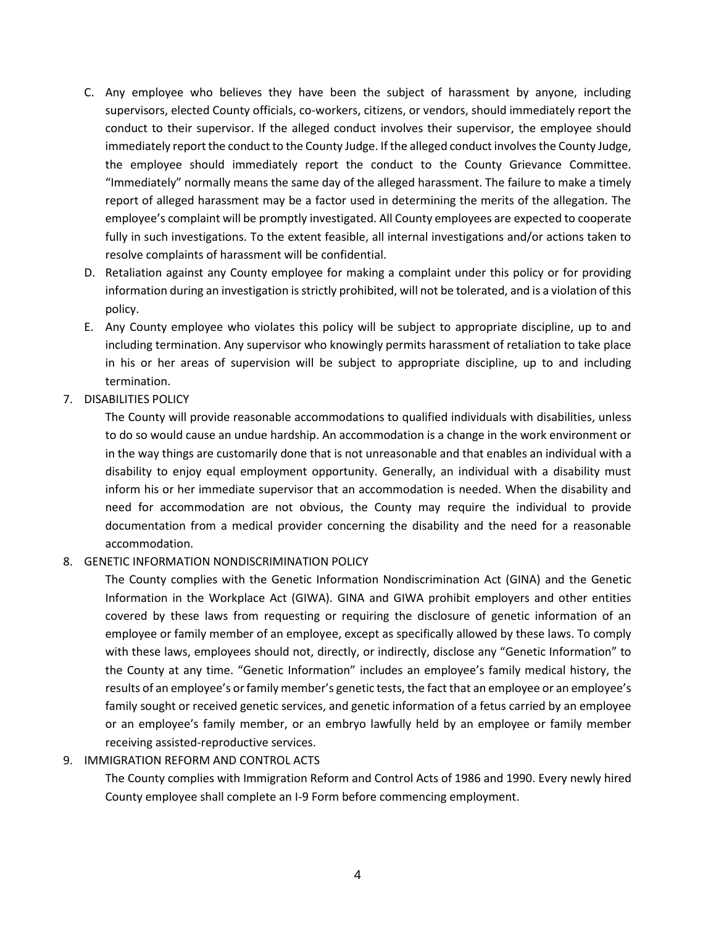- C. Any employee who believes they have been the subject of harassment by anyone, including supervisors, elected County officials, co-workers, citizens, or vendors, should immediately report the conduct to their supervisor. If the alleged conduct involves their supervisor, the employee should immediately report the conduct to the County Judge. If the alleged conduct involves the County Judge, the employee should immediately report the conduct to the County Grievance Committee. "Immediately" normally means the same day of the alleged harassment. The failure to make a timely report of alleged harassment may be a factor used in determining the merits of the allegation. The employee's complaint will be promptly investigated. All County employees are expected to cooperate fully in such investigations. To the extent feasible, all internal investigations and/or actions taken to resolve complaints of harassment will be confidential.
- D. Retaliation against any County employee for making a complaint under this policy or for providing information during an investigation is strictly prohibited, will not be tolerated, and is a violation of this policy.
- E. Any County employee who violates this policy will be subject to appropriate discipline, up to and including termination. Any supervisor who knowingly permits harassment of retaliation to take place in his or her areas of supervision will be subject to appropriate discipline, up to and including termination.
- <span id="page-6-0"></span>7. DISABILITIES POLICY

The County will provide reasonable accommodations to qualified individuals with disabilities, unless to do so would cause an undue hardship. An accommodation is a change in the work environment or in the way things are customarily done that is not unreasonable and that enables an individual with a disability to enjoy equal employment opportunity. Generally, an individual with a disability must inform his or her immediate supervisor that an accommodation is needed. When the disability and need for accommodation are not obvious, the County may require the individual to provide documentation from a medical provider concerning the disability and the need for a reasonable accommodation.

<span id="page-6-1"></span>8. GENETIC INFORMATION NONDISCRIMINATION POLICY

The County complies with the Genetic Information Nondiscrimination Act (GINA) and the Genetic Information in the Workplace Act (GIWA). GINA and GIWA prohibit employers and other entities covered by these laws from requesting or requiring the disclosure of genetic information of an employee or family member of an employee, except as specifically allowed by these laws. To comply with these laws, employees should not, directly, or indirectly, disclose any "Genetic Information" to the County at any time. "Genetic Information" includes an employee's family medical history, the results of an employee's or family member's genetic tests, the fact that an employee or an employee's family sought or received genetic services, and genetic information of a fetus carried by an employee or an employee's family member, or an embryo lawfully held by an employee or family member receiving assisted-reproductive services.

## <span id="page-6-2"></span>9. IMMIGRATION REFORM AND CONTROL ACTS

The County complies with Immigration Reform and Control Acts of 1986 and 1990. Every newly hired County employee shall complete an I-9 Form before commencing employment.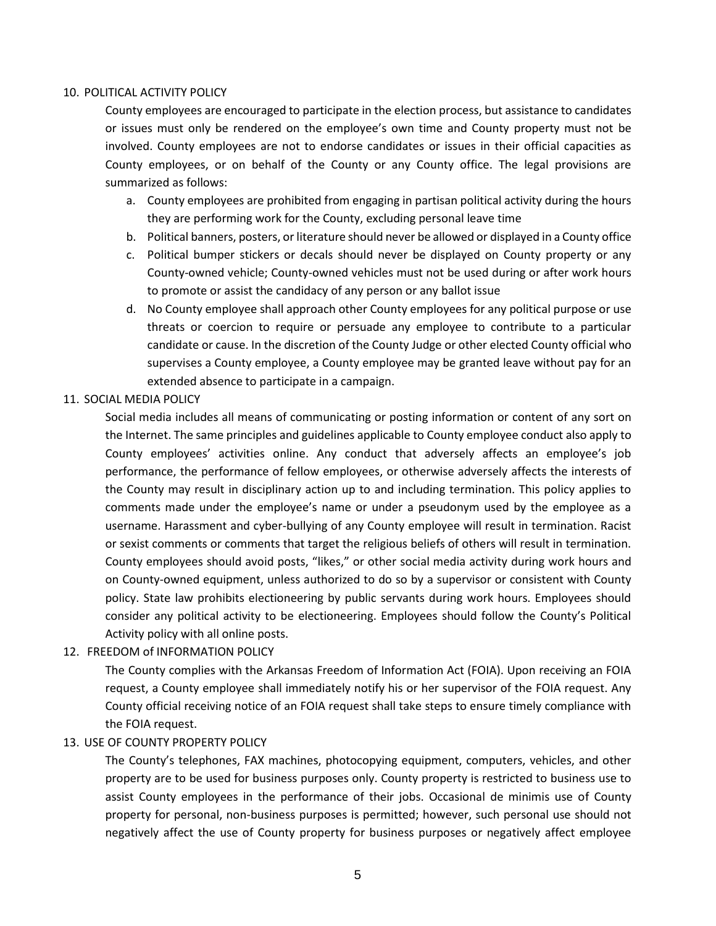#### <span id="page-7-0"></span>10. POLITICAL ACTIVITY POLICY

County employees are encouraged to participate in the election process, but assistance to candidates or issues must only be rendered on the employee's own time and County property must not be involved. County employees are not to endorse candidates or issues in their official capacities as County employees, or on behalf of the County or any County office. The legal provisions are summarized as follows:

- a. County employees are prohibited from engaging in partisan political activity during the hours they are performing work for the County, excluding personal leave time
- b. Political banners, posters, or literature should never be allowed or displayed in a County office
- c. Political bumper stickers or decals should never be displayed on County property or any County-owned vehicle; County-owned vehicles must not be used during or after work hours to promote or assist the candidacy of any person or any ballot issue
- d. No County employee shall approach other County employees for any political purpose or use threats or coercion to require or persuade any employee to contribute to a particular candidate or cause. In the discretion of the County Judge or other elected County official who supervises a County employee, a County employee may be granted leave without pay for an extended absence to participate in a campaign.

#### <span id="page-7-1"></span>11. SOCIAL MEDIA POLICY

Social media includes all means of communicating or posting information or content of any sort on the Internet. The same principles and guidelines applicable to County employee conduct also apply to County employees' activities online. Any conduct that adversely affects an employee's job performance, the performance of fellow employees, or otherwise adversely affects the interests of the County may result in disciplinary action up to and including termination. This policy applies to comments made under the employee's name or under a pseudonym used by the employee as a username. Harassment and cyber-bullying of any County employee will result in termination. Racist or sexist comments or comments that target the religious beliefs of others will result in termination. County employees should avoid posts, "likes," or other social media activity during work hours and on County-owned equipment, unless authorized to do so by a supervisor or consistent with County policy. State law prohibits electioneering by public servants during work hours. Employees should consider any political activity to be electioneering. Employees should follow the County's Political Activity policy with all online posts.

#### <span id="page-7-2"></span>12. FREEDOM of INFORMATION POLICY

The County complies with the Arkansas Freedom of Information Act (FOIA). Upon receiving an FOIA request, a County employee shall immediately notify his or her supervisor of the FOIA request. Any County official receiving notice of an FOIA request shall take steps to ensure timely compliance with the FOIA request.

#### <span id="page-7-3"></span>13. USE OF COUNTY PROPERTY POLICY

The County's telephones, FAX machines, photocopying equipment, computers, vehicles, and other property are to be used for business purposes only. County property is restricted to business use to assist County employees in the performance of their jobs. Occasional de minimis use of County property for personal, non-business purposes is permitted; however, such personal use should not negatively affect the use of County property for business purposes or negatively affect employee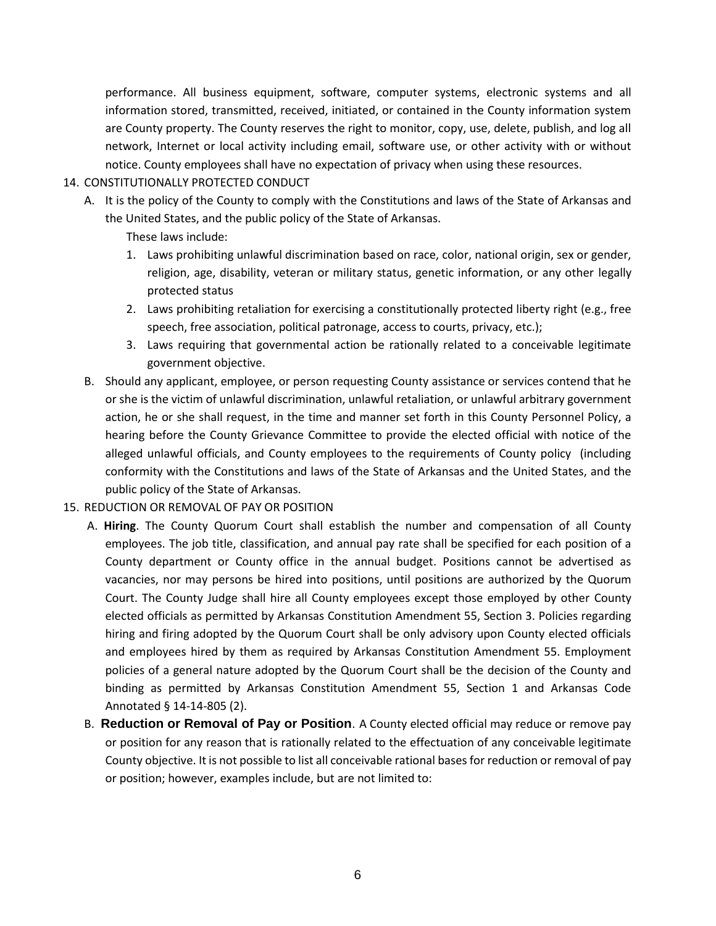performance. All business equipment, software, computer systems, electronic systems and all information stored, transmitted, received, initiated, or contained in the County information system are County property. The County reserves the right to monitor, copy, use, delete, publish, and log all network, Internet or local activity including email, software use, or other activity with or without notice. County employees shall have no expectation of privacy when using these resources.

### <span id="page-8-0"></span>14. CONSTITUTIONALLY PROTECTED CONDUCT

A. It is the policy of the County to comply with the Constitutions and laws of the State of Arkansas and the United States, and the public policy of the State of Arkansas.

These laws include:

- 1. Laws prohibiting unlawful discrimination based on race, color, national origin, sex or gender, religion, age, disability, veteran or military status, genetic information, or any other legally protected status
- 2. Laws prohibiting retaliation for exercising a constitutionally protected liberty right (e.g., free speech, free association, political patronage, access to courts, privacy, etc.);
- <span id="page-8-1"></span>3. Laws requiring that governmental action be rationally related to a conceivable legitimate government objective.
- B. Should any applicant, employee, or person requesting County assistance or services contend that he or she is the victim of unlawful discrimination, unlawful retaliation, or unlawful arbitrary government action, he or she shall request, in the time and manner set forth in this County Personnel Policy, a hearing before the County Grievance Committee to provide the elected official with notice of the alleged unlawful officials, and County employees to the requirements of County policy (including conformity with the Constitutions and laws of the State of Arkansas and the United States, and the public policy of the State of Arkansas.
- 15. REDUCTION OR REMOVAL OF PAY OR POSITION
	- A. **Hiring**. The County Quorum Court shall establish the number and compensation of all County employees. The job title, classification, and annual pay rate shall be specified for each position of a County department or County office in the annual budget. Positions cannot be advertised as vacancies, nor may persons be hired into positions, until positions are authorized by the Quorum Court. The County Judge shall hire all County employees except those employed by other County elected officials as permitted by Arkansas Constitution Amendment 55, Section 3. Policies regarding hiring and firing adopted by the Quorum Court shall be only advisory upon County elected officials and employees hired by them as required by Arkansas Constitution Amendment 55. Employment policies of a general nature adopted by the Quorum Court shall be the decision of the County and binding as permitted by Arkansas Constitution Amendment 55, Section 1 and Arkansas Code Annotated § 14-14-805 (2).
	- B. **Reduction or Removal of Pay or Position**. A County elected official may reduce or remove pay or position for any reason that is rationally related to the effectuation of any conceivable legitimate County objective. It is not possible to list all conceivable rational bases for reduction or removal of pay or position; however, examples include, but are not limited to: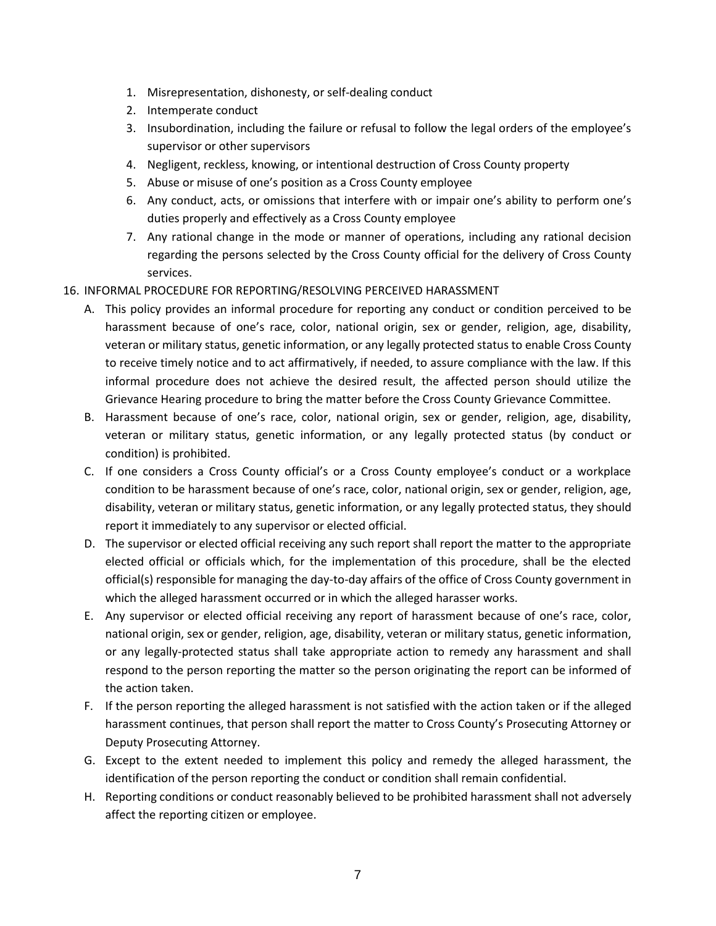- 1. Misrepresentation, dishonesty, or self-dealing conduct
- 2. Intemperate conduct
- 3. Insubordination, including the failure or refusal to follow the legal orders of the employee's supervisor or other supervisors
- 4. Negligent, reckless, knowing, or intentional destruction of Cross County property
- 5. Abuse or misuse of one's position as a Cross County employee
- 6. Any conduct, acts, or omissions that interfere with or impair one's ability to perform one's duties properly and effectively as a Cross County employee
- 7. Any rational change in the mode or manner of operations, including any rational decision regarding the persons selected by the Cross County official for the delivery of Cross County services.
- <span id="page-9-0"></span>16. INFORMAL PROCEDURE FOR REPORTING/RESOLVING PERCEIVED HARASSMENT
	- A. This policy provides an informal procedure for reporting any conduct or condition perceived to be harassment because of one's race, color, national origin, sex or gender, religion, age, disability, veteran or military status, genetic information, or any legally protected status to enable Cross County to receive timely notice and to act affirmatively, if needed, to assure compliance with the law. If this informal procedure does not achieve the desired result, the affected person should utilize the Grievance Hearing procedure to bring the matter before the Cross County Grievance Committee.
	- B. Harassment because of one's race, color, national origin, sex or gender, religion, age, disability, veteran or military status, genetic information, or any legally protected status (by conduct or condition) is prohibited.
	- C. If one considers a Cross County official's or a Cross County employee's conduct or a workplace condition to be harassment because of one's race, color, national origin, sex or gender, religion, age, disability, veteran or military status, genetic information, or any legally protected status, they should report it immediately to any supervisor or elected official.
	- D. The supervisor or elected official receiving any such report shall report the matter to the appropriate elected official or officials which, for the implementation of this procedure, shall be the elected official(s) responsible for managing the day-to-day affairs of the office of Cross County government in which the alleged harassment occurred or in which the alleged harasser works.
	- E. Any supervisor or elected official receiving any report of harassment because of one's race, color, national origin, sex or gender, religion, age, disability, veteran or military status, genetic information, or any legally-protected status shall take appropriate action to remedy any harassment and shall respond to the person reporting the matter so the person originating the report can be informed of the action taken.
	- F. If the person reporting the alleged harassment is not satisfied with the action taken or if the alleged harassment continues, that person shall report the matter to Cross County's Prosecuting Attorney or Deputy Prosecuting Attorney.
	- G. Except to the extent needed to implement this policy and remedy the alleged harassment, the identification of the person reporting the conduct or condition shall remain confidential.
	- H. Reporting conditions or conduct reasonably believed to be prohibited harassment shall not adversely affect the reporting citizen or employee.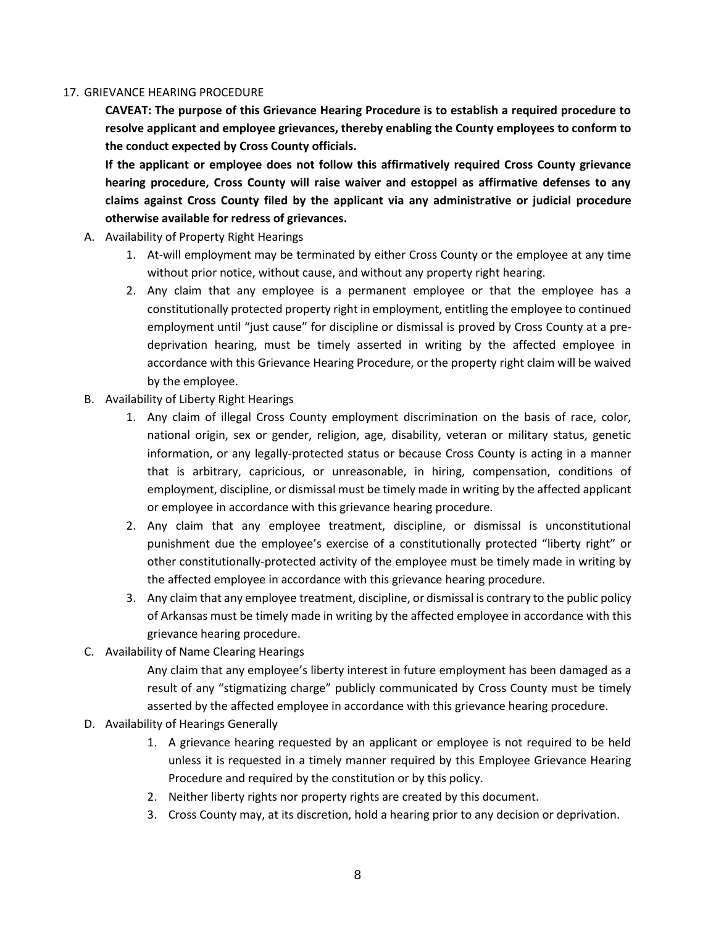### <span id="page-10-0"></span>17. GRIEVANCE HEARING PROCEDURE

**CAVEAT: The purpose of this Grievance Hearing Procedure is to establish a required procedure to resolve applicant and employee grievances, thereby enabling the County employees to conform to the conduct expected by Cross County officials.** 

**If the applicant or employee does not follow this affirmatively required Cross County grievance hearing procedure, Cross County will raise waiver and estoppel as affirmative defenses to any claims against Cross County filed by the applicant via any administrative or judicial procedure otherwise available for redress of grievances.**

- A. Availability of Property Right Hearings
	- 1. At-will employment may be terminated by either Cross County or the employee at any time without prior notice, without cause, and without any property right hearing.
	- 2. Any claim that any employee is a permanent employee or that the employee has a constitutionally protected property right in employment, entitling the employee to continued employment until "just cause" for discipline or dismissal is proved by Cross County at a predeprivation hearing, must be timely asserted in writing by the affected employee in accordance with this Grievance Hearing Procedure, or the property right claim will be waived by the employee.
- B. Availability of Liberty Right Hearings
	- 1. Any claim of illegal Cross County employment discrimination on the basis of race, color, national origin, sex or gender, religion, age, disability, veteran or military status, genetic information, or any legally-protected status or because Cross County is acting in a manner that is arbitrary, capricious, or unreasonable, in hiring, compensation, conditions of employment, discipline, or dismissal must be timely made in writing by the affected applicant or employee in accordance with this grievance hearing procedure.
	- 2. Any claim that any employee treatment, discipline, or dismissal is unconstitutional punishment due the employee's exercise of a constitutionally protected "liberty right" or other constitutionally-protected activity of the employee must be timely made in writing by the affected employee in accordance with this grievance hearing procedure.
	- 3. Any claim that any employee treatment, discipline, or dismissal is contrary to the public policy of Arkansas must be timely made in writing by the affected employee in accordance with this grievance hearing procedure.
- C. Availability of Name Clearing Hearings

Any claim that any employee's liberty interest in future employment has been damaged as a result of any "stigmatizing charge" publicly communicated by Cross County must be timely asserted by the affected employee in accordance with this grievance hearing procedure.

- D. Availability of Hearings Generally
	- 1. A grievance hearing requested by an applicant or employee is not required to be held unless it is requested in a timely manner required by this Employee Grievance Hearing Procedure and required by the constitution or by this policy.
	- 2. Neither liberty rights nor property rights are created by this document.
	- 3. Cross County may, at its discretion, hold a hearing prior to any decision or deprivation.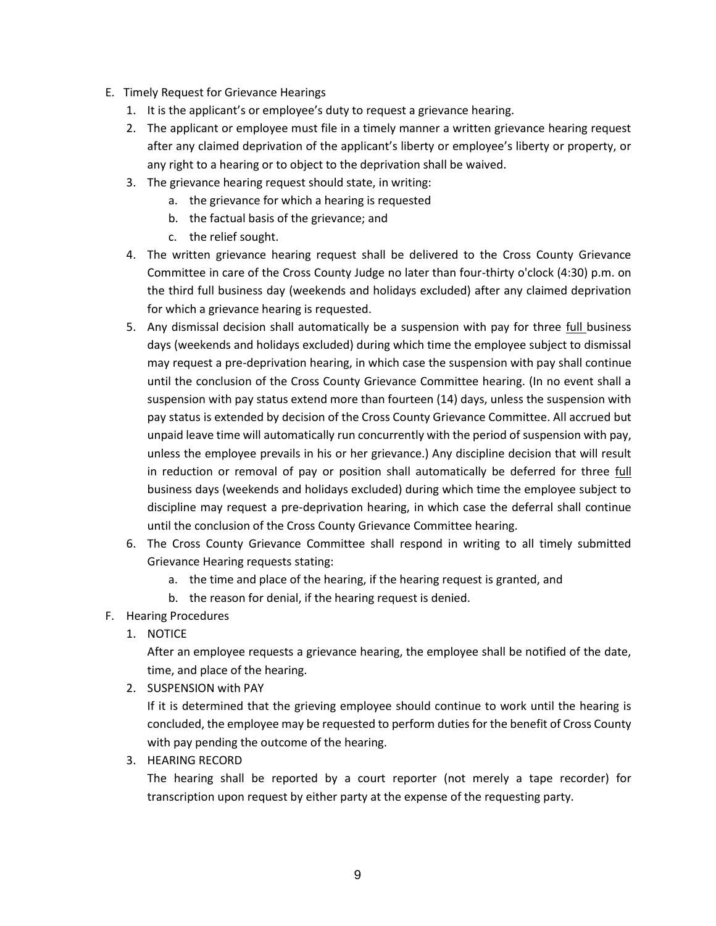- E. Timely Request for Grievance Hearings
	- 1. It is the applicant's or employee's duty to request a grievance hearing.
	- 2. The applicant or employee must file in a timely manner a written grievance hearing request after any claimed deprivation of the applicant's liberty or employee's liberty or property, or any right to a hearing or to object to the deprivation shall be waived.
	- 3. The grievance hearing request should state, in writing:
		- a. the grievance for which a hearing is requested
		- b. the factual basis of the grievance; and
		- c. the relief sought.
	- 4. The written grievance hearing request shall be delivered to the Cross County Grievance Committee in care of the Cross County Judge no later than four-thirty o'clock (4:30) p.m. on the third full business day (weekends and holidays excluded) after any claimed deprivation for which a grievance hearing is requested.
	- 5. Any dismissal decision shall automatically be a suspension with pay for three full business days (weekends and holidays excluded) during which time the employee subject to dismissal may request a pre-deprivation hearing, in which case the suspension with pay shall continue until the conclusion of the Cross County Grievance Committee hearing. (In no event shall a suspension with pay status extend more than fourteen (14) days, unless the suspension with pay status is extended by decision of the Cross County Grievance Committee. All accrued but unpaid leave time will automatically run concurrently with the period of suspension with pay, unless the employee prevails in his or her grievance.) Any discipline decision that will result in reduction or removal of pay or position shall automatically be deferred for three full business days (weekends and holidays excluded) during which time the employee subject to discipline may request a pre-deprivation hearing, in which case the deferral shall continue until the conclusion of the Cross County Grievance Committee hearing.
	- 6. The Cross County Grievance Committee shall respond in writing to all timely submitted Grievance Hearing requests stating:
		- a. the time and place of the hearing, if the hearing request is granted, and
		- b. the reason for denial, if the hearing request is denied.
- F. Hearing Procedures
	- 1. NOTICE

After an employee requests a grievance hearing, the employee shall be notified of the date, time, and place of the hearing.

2. SUSPENSION with PAY

If it is determined that the grieving employee should continue to work until the hearing is concluded, the employee may be requested to perform duties for the benefit of Cross County with pay pending the outcome of the hearing.

3. HEARING RECORD

The hearing shall be reported by a court reporter (not merely a tape recorder) for transcription upon request by either party at the expense of the requesting party.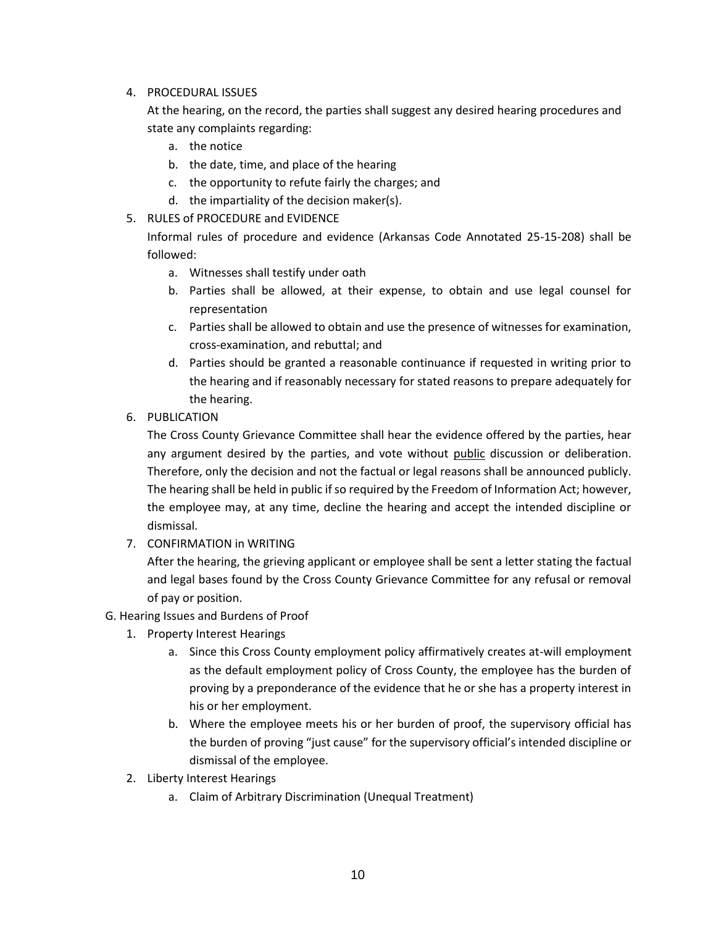4. PROCEDURAL ISSUES

At the hearing, on the record, the parties shall suggest any desired hearing procedures and state any complaints regarding:

- a. the notice
- b. the date, time, and place of the hearing
- c. the opportunity to refute fairly the charges; and
- d. the impartiality of the decision maker(s).
- 5. RULES of PROCEDURE and EVIDENCE

Informal rules of procedure and evidence (Arkansas Code Annotated 25-15-208) shall be followed:

- a. Witnesses shall testify under oath
- b. Parties shall be allowed, at their expense, to obtain and use legal counsel for representation
- c. Parties shall be allowed to obtain and use the presence of witnesses for examination, cross-examination, and rebuttal; and
- d. Parties should be granted a reasonable continuance if requested in writing prior to the hearing and if reasonably necessary for stated reasons to prepare adequately for the hearing.
- 6. PUBLICATION

The Cross County Grievance Committee shall hear the evidence offered by the parties, hear any argument desired by the parties, and vote without public discussion or deliberation. Therefore, only the decision and not the factual or legal reasons shall be announced publicly. The hearing shall be held in public if so required by the Freedom of Information Act; however, the employee may, at any time, decline the hearing and accept the intended discipline or dismissal.

7. CONFIRMATION in WRITING

After the hearing, the grieving applicant or employee shall be sent a letter stating the factual and legal bases found by the Cross County Grievance Committee for any refusal or removal of pay or position.

- G. Hearing Issues and Burdens of Proof
	- 1. Property Interest Hearings
		- a. Since this Cross County employment policy affirmatively creates at-will employment as the default employment policy of Cross County, the employee has the burden of proving by a preponderance of the evidence that he or she has a property interest in his or her employment.
		- b. Where the employee meets his or her burden of proof, the supervisory official has the burden of proving "just cause" for the supervisory official's intended discipline or dismissal of the employee.
	- 2. Liberty Interest Hearings
		- a. Claim of Arbitrary Discrimination (Unequal Treatment)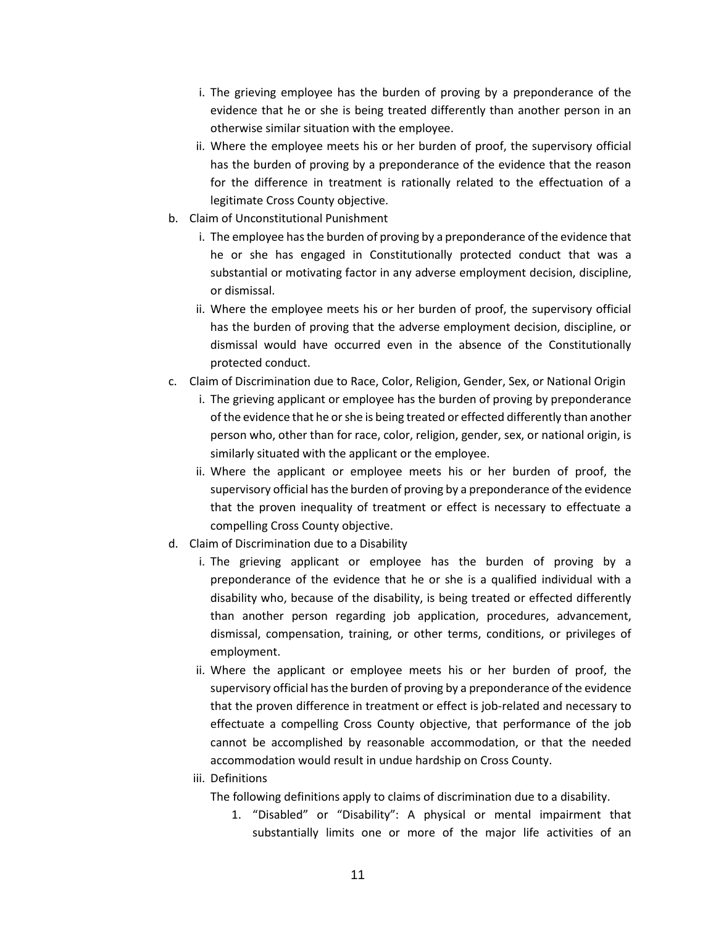- i. The grieving employee has the burden of proving by a preponderance of the evidence that he or she is being treated differently than another person in an otherwise similar situation with the employee.
- ii. Where the employee meets his or her burden of proof, the supervisory official has the burden of proving by a preponderance of the evidence that the reason for the difference in treatment is rationally related to the effectuation of a legitimate Cross County objective.
- b. Claim of Unconstitutional Punishment
	- i. The employee has the burden of proving by a preponderance of the evidence that he or she has engaged in Constitutionally protected conduct that was a substantial or motivating factor in any adverse employment decision, discipline, or dismissal.
	- ii. Where the employee meets his or her burden of proof, the supervisory official has the burden of proving that the adverse employment decision, discipline, or dismissal would have occurred even in the absence of the Constitutionally protected conduct.
- c. Claim of Discrimination due to Race, Color, Religion, Gender, Sex, or National Origin
	- i. The grieving applicant or employee has the burden of proving by preponderance of the evidence that he or she is being treated or effected differently than another person who, other than for race, color, religion, gender, sex, or national origin, is similarly situated with the applicant or the employee.
	- ii. Where the applicant or employee meets his or her burden of proof, the supervisory official has the burden of proving by a preponderance of the evidence that the proven inequality of treatment or effect is necessary to effectuate a compelling Cross County objective.
- d. Claim of Discrimination due to a Disability
	- i. The grieving applicant or employee has the burden of proving by a preponderance of the evidence that he or she is a qualified individual with a disability who, because of the disability, is being treated or effected differently than another person regarding job application, procedures, advancement, dismissal, compensation, training, or other terms, conditions, or privileges of employment.
	- ii. Where the applicant or employee meets his or her burden of proof, the supervisory official has the burden of proving by a preponderance of the evidence that the proven difference in treatment or effect is job-related and necessary to effectuate a compelling Cross County objective, that performance of the job cannot be accomplished by reasonable accommodation, or that the needed accommodation would result in undue hardship on Cross County.
	- iii. Definitions

The following definitions apply to claims of discrimination due to a disability.

1. "Disabled" or "Disability": A physical or mental impairment that substantially limits one or more of the major life activities of an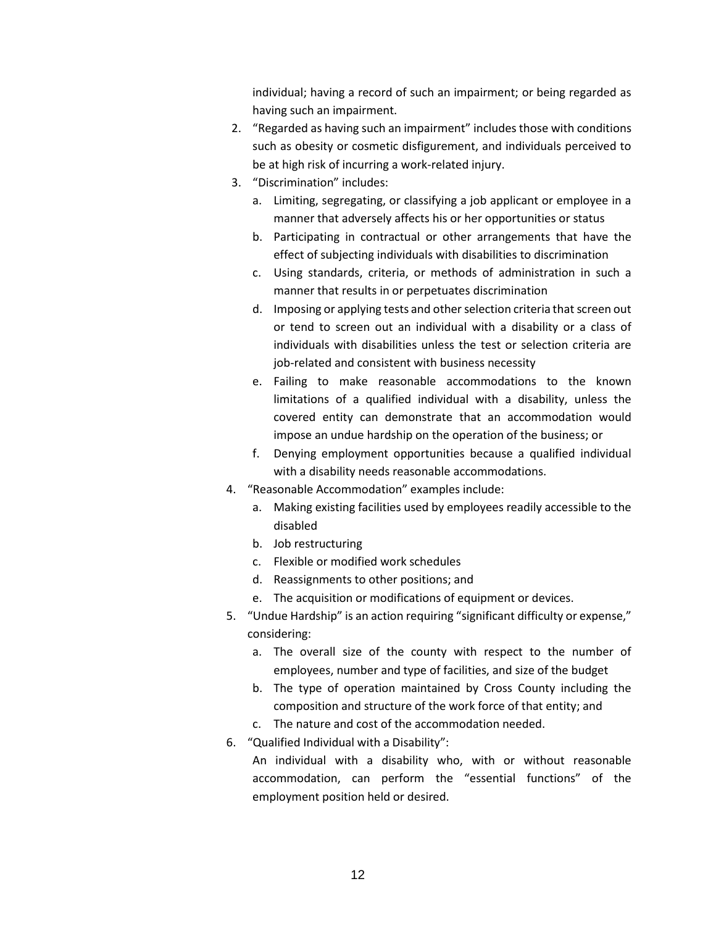individual; having a record of such an impairment; or being regarded as having such an impairment.

- 2. "Regarded as having such an impairment" includes those with conditions such as obesity or cosmetic disfigurement, and individuals perceived to be at high risk of incurring a work-related injury.
- 3. "Discrimination" includes:
	- a. Limiting, segregating, or classifying a job applicant or employee in a manner that adversely affects his or her opportunities or status
	- b. Participating in contractual or other arrangements that have the effect of subjecting individuals with disabilities to discrimination
	- c. Using standards, criteria, or methods of administration in such a manner that results in or perpetuates discrimination
	- d. Imposing or applying tests and other selection criteria that screen out or tend to screen out an individual with a disability or a class of individuals with disabilities unless the test or selection criteria are job-related and consistent with business necessity
	- e. Failing to make reasonable accommodations to the known limitations of a qualified individual with a disability, unless the covered entity can demonstrate that an accommodation would impose an undue hardship on the operation of the business; or
	- f. Denying employment opportunities because a qualified individual with a disability needs reasonable accommodations.
- 4. "Reasonable Accommodation" examples include:
	- a. Making existing facilities used by employees readily accessible to the disabled
	- b. Job restructuring
	- c. Flexible or modified work schedules
	- d. Reassignments to other positions; and
	- e. The acquisition or modifications of equipment or devices.
- 5. "Undue Hardship" is an action requiring "significant difficulty or expense," considering:
	- a. The overall size of the county with respect to the number of employees, number and type of facilities, and size of the budget
	- b. The type of operation maintained by Cross County including the composition and structure of the work force of that entity; and
	- c. The nature and cost of the accommodation needed.
- 6. "Qualified Individual with a Disability":

An individual with a disability who, with or without reasonable accommodation, can perform the "essential functions" of the employment position held or desired.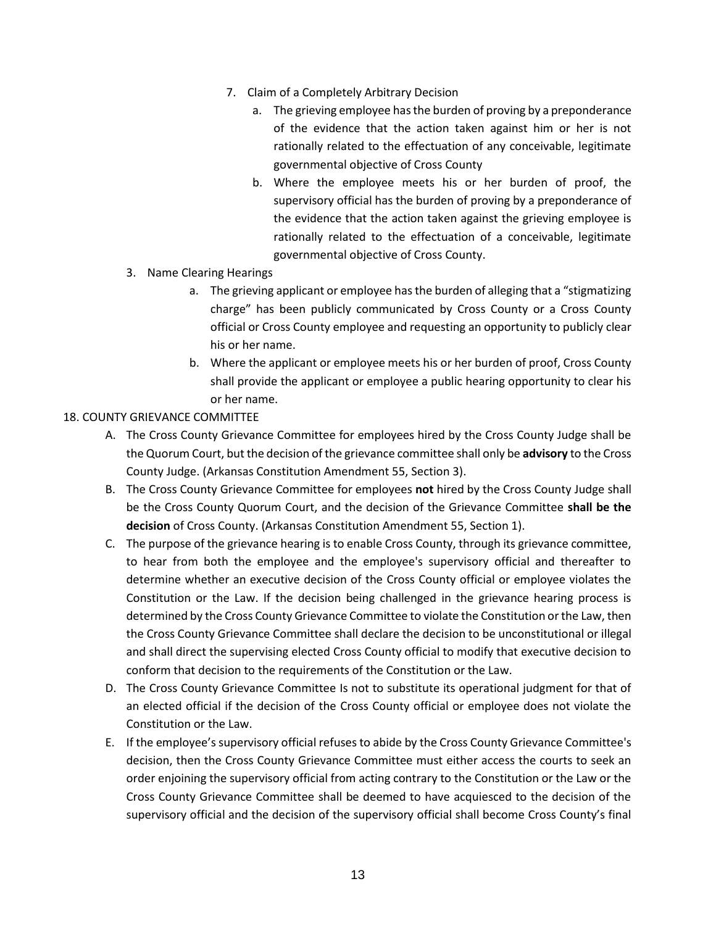- 7. Claim of a Completely Arbitrary Decision
	- a. The grieving employee has the burden of proving by a preponderance of the evidence that the action taken against him or her is not rationally related to the effectuation of any conceivable, legitimate governmental objective of Cross County
	- b. Where the employee meets his or her burden of proof, the supervisory official has the burden of proving by a preponderance of the evidence that the action taken against the grieving employee is rationally related to the effectuation of a conceivable, legitimate governmental objective of Cross County.
- 3. Name Clearing Hearings
	- a. The grieving applicant or employee has the burden of alleging that a "stigmatizing charge" has been publicly communicated by Cross County or a Cross County official or Cross County employee and requesting an opportunity to publicly clear his or her name.
	- b. Where the applicant or employee meets his or her burden of proof, Cross County shall provide the applicant or employee a public hearing opportunity to clear his or her name.

### <span id="page-15-0"></span>18. COUNTY GRIEVANCE COMMITTEE

- A. The Cross County Grievance Committee for employees hired by the Cross County Judge shall be the Quorum Court, but the decision of the grievance committee shall only be **advisory** to the Cross County Judge. (Arkansas Constitution Amendment 55, Section 3).
- B. The Cross County Grievance Committee for employees **not** hired by the Cross County Judge shall be the Cross County Quorum Court, and the decision of the Grievance Committee **shall be the decision** of Cross County. (Arkansas Constitution Amendment 55, Section 1).
- C. The purpose of the grievance hearing is to enable Cross County, through its grievance committee, to hear from both the employee and the employee's supervisory official and thereafter to determine whether an executive decision of the Cross County official or employee violates the Constitution or the Law. If the decision being challenged in the grievance hearing process is determined by the Cross County Grievance Committee to violate the Constitution or the Law, then the Cross County Grievance Committee shall declare the decision to be unconstitutional or illegal and shall direct the supervising elected Cross County official to modify that executive decision to conform that decision to the requirements of the Constitution or the Law.
- D. The Cross County Grievance Committee Is not to substitute its operational judgment for that of an elected official if the decision of the Cross County official or employee does not violate the Constitution or the Law.
- E. If the employee's supervisory official refuses to abide by the Cross County Grievance Committee's decision, then the Cross County Grievance Committee must either access the courts to seek an order enjoining the supervisory official from acting contrary to the Constitution or the Law or the Cross County Grievance Committee shall be deemed to have acquiesced to the decision of the supervisory official and the decision of the supervisory official shall become Cross County's final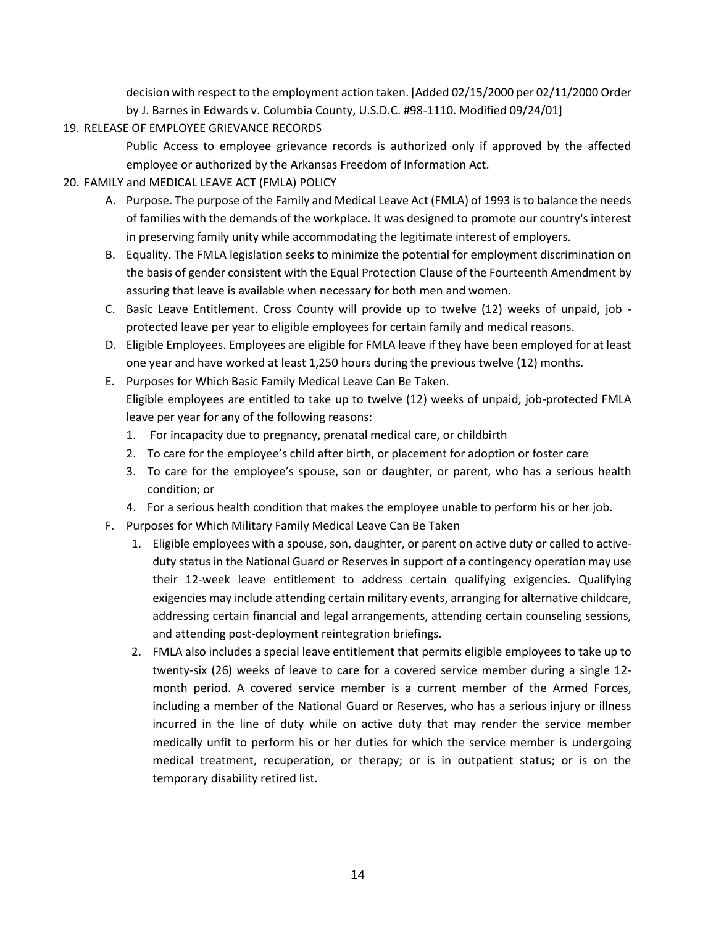decision with respect to the employment action taken. [Added 02/15/2000 per 02/11/2000 Order by J. Barnes in Edwards v. Columbia County, U.S.D.C. #98-1110. Modified 09/24/01]

<span id="page-16-0"></span>19. RELEASE OF EMPLOYEE GRIEVANCE RECORDS

Public Access to employee grievance records is authorized only if approved by the affected employee or authorized by the Arkansas Freedom of Information Act.

- <span id="page-16-1"></span>20. FAMILY and MEDICAL LEAVE ACT (FMLA) POLICY
	- A. Purpose. The purpose of the Family and Medical Leave Act (FMLA) of 1993 is to balance the needs of families with the demands of the workplace. It was designed to promote our country's interest in preserving family unity while accommodating the legitimate interest of employers.
	- B. Equality. The FMLA legislation seeks to minimize the potential for employment discrimination on the basis of gender consistent with the Equal Protection Clause of the Fourteenth Amendment by assuring that leave is available when necessary for both men and women.
	- C. Basic Leave Entitlement. Cross County will provide up to twelve (12) weeks of unpaid, job protected leave per year to eligible employees for certain family and medical reasons.
	- D. Eligible Employees. Employees are eligible for FMLA leave if they have been employed for at least one year and have worked at least 1,250 hours during the previous twelve (12) months.
	- E. Purposes for Which Basic Family Medical Leave Can Be Taken. Eligible employees are entitled to take up to twelve (12) weeks of unpaid, job-protected FMLA leave per year for any of the following reasons:
		- 1. For incapacity due to pregnancy, prenatal medical care, or childbirth
		- 2. To care for the employee's child after birth, or placement for adoption or foster care
		- 3. To care for the employee's spouse, son or daughter, or parent, who has a serious health condition; or
		- 4. For a serious health condition that makes the employee unable to perform his or her job.
	- F. Purposes for Which Military Family Medical Leave Can Be Taken
		- 1. Eligible employees with a spouse, son, daughter, or parent on active duty or called to activeduty status in the National Guard or Reserves in support of a contingency operation may use their 12-week leave entitlement to address certain qualifying exigencies. Qualifying exigencies may include attending certain military events, arranging for alternative childcare, addressing certain financial and legal arrangements, attending certain counseling sessions, and attending post-deployment reintegration briefings.
		- 2. FMLA also includes a special leave entitlement that permits eligible employees to take up to twenty-six (26) weeks of leave to care for a covered service member during a single 12 month period. A covered service member is a current member of the Armed Forces, including a member of the National Guard or Reserves, who has a serious injury or illness incurred in the line of duty while on active duty that may render the service member medically unfit to perform his or her duties for which the service member is undergoing medical treatment, recuperation, or therapy; or is in outpatient status; or is on the temporary disability retired list.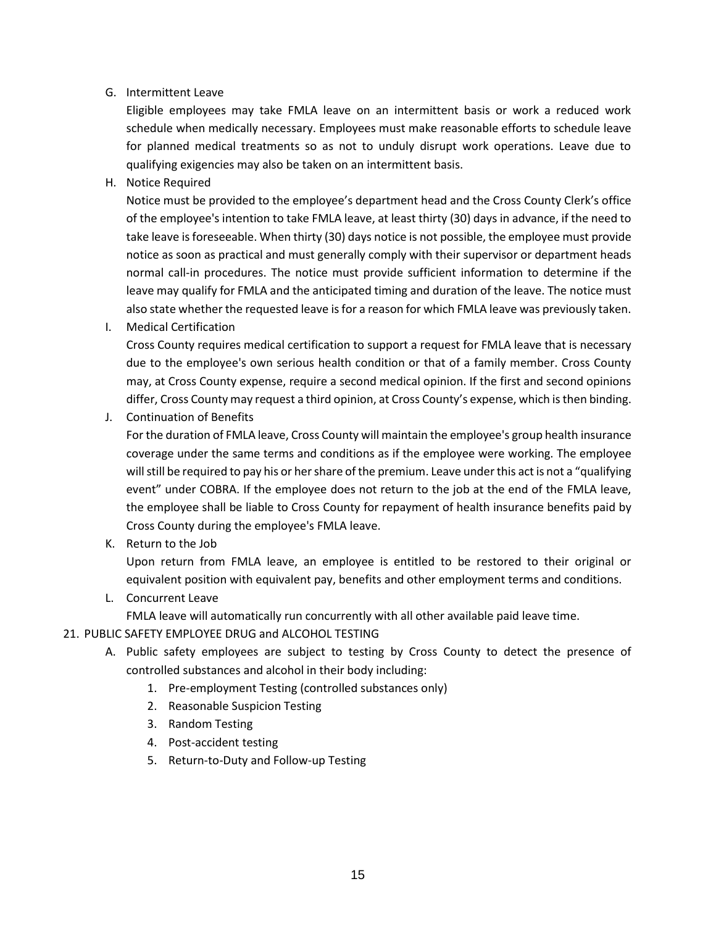### G. Intermittent Leave

Eligible employees may take FMLA leave on an intermittent basis or work a reduced work schedule when medically necessary. Employees must make reasonable efforts to schedule leave for planned medical treatments so as not to unduly disrupt work operations. Leave due to qualifying exigencies may also be taken on an intermittent basis.

H. Notice Required

Notice must be provided to the employee's department head and the Cross County Clerk's office of the employee's intention to take FMLA leave, at least thirty (30) days in advance, if the need to take leave is foreseeable. When thirty (30) days notice is not possible, the employee must provide notice as soon as practical and must generally comply with their supervisor or department heads normal call-in procedures. The notice must provide sufficient information to determine if the leave may qualify for FMLA and the anticipated timing and duration of the leave. The notice must also state whether the requested leave is for a reason for which FMLA leave was previously taken.

I. Medical Certification

Cross County requires medical certification to support a request for FMLA leave that is necessary due to the employee's own serious health condition or that of a family member. Cross County may, at Cross County expense, require a second medical opinion. If the first and second opinions differ, Cross County may request a third opinion, at Cross County's expense, which is then binding.

J. Continuation of Benefits

For the duration of FMLA leave, Cross County will maintain the employee's group health insurance coverage under the same terms and conditions as if the employee were working. The employee will still be required to pay his or her share of the premium. Leave under this act is not a "qualifying event" under COBRA. If the employee does not return to the job at the end of the FMLA leave, the employee shall be liable to Cross County for repayment of health insurance benefits paid by Cross County during the employee's FMLA leave.

K. Return to the Job

Upon return from FMLA leave, an employee is entitled to be restored to their original or equivalent position with equivalent pay, benefits and other employment terms and conditions.

L. Concurrent Leave

FMLA leave will automatically run concurrently with all other available paid leave time.

- <span id="page-17-0"></span>21. PUBLIC SAFETY EMPLOYEE DRUG and ALCOHOL TESTING
	- A. Public safety employees are subject to testing by Cross County to detect the presence of controlled substances and alcohol in their body including:
		- 1. Pre-employment Testing (controlled substances only)
		- 2. Reasonable Suspicion Testing
		- 3. Random Testing
		- 4. Post-accident testing
		- 5. Return-to-Duty and Follow-up Testing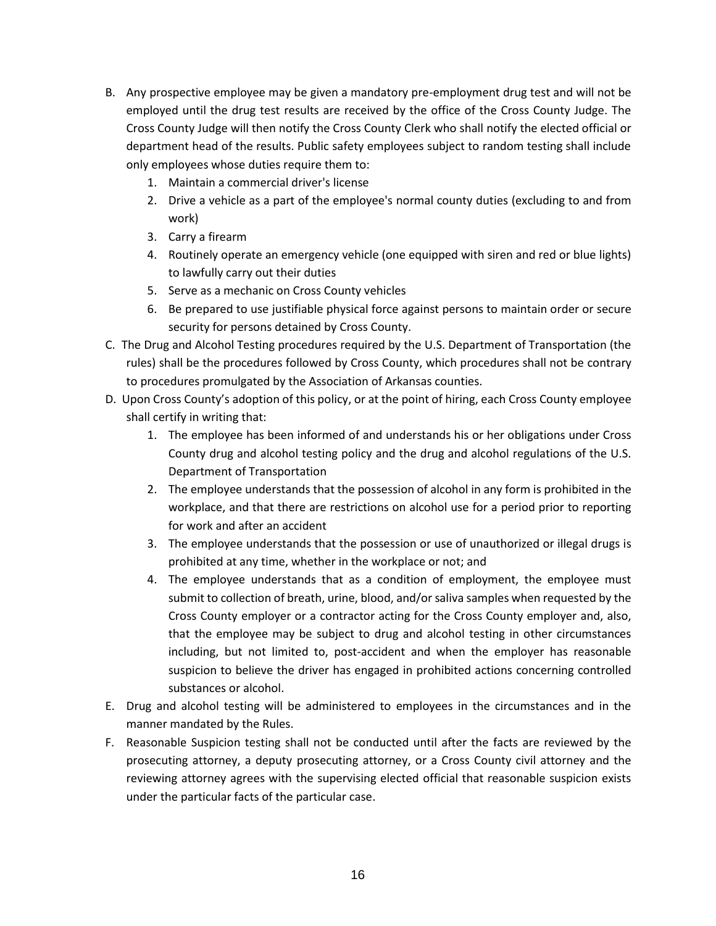- B. Any prospective employee may be given a mandatory pre-employment drug test and will not be employed until the drug test results are received by the office of the Cross County Judge. The Cross County Judge will then notify the Cross County Clerk who shall notify the elected official or department head of the results. Public safety employees subject to random testing shall include only employees whose duties require them to:
	- 1. Maintain a commercial driver's license
	- 2. Drive a vehicle as a part of the employee's normal county duties (excluding to and from work)
	- 3. Carry a firearm
	- 4. Routinely operate an emergency vehicle (one equipped with siren and red or blue lights) to lawfully carry out their duties
	- 5. Serve as a mechanic on Cross County vehicles
	- 6. Be prepared to use justifiable physical force against persons to maintain order or secure security for persons detained by Cross County.
- C. The Drug and Alcohol Testing procedures required by the U.S. Department of Transportation (the rules) shall be the procedures followed by Cross County, which procedures shall not be contrary to procedures promulgated by the Association of Arkansas counties.
- D. Upon Cross County's adoption of this policy, or at the point of hiring, each Cross County employee shall certify in writing that:
	- 1. The employee has been informed of and understands his or her obligations under Cross County drug and alcohol testing policy and the drug and alcohol regulations of the U.S. Department of Transportation
	- 2. The employee understands that the possession of alcohol in any form is prohibited in the workplace, and that there are restrictions on alcohol use for a period prior to reporting for work and after an accident
	- 3. The employee understands that the possession or use of unauthorized or illegal drugs is prohibited at any time, whether in the workplace or not; and
	- 4. The employee understands that as a condition of employment, the employee must submit to collection of breath, urine, blood, and/or saliva samples when requested by the Cross County employer or a contractor acting for the Cross County employer and, also, that the employee may be subject to drug and alcohol testing in other circumstances including, but not limited to, post-accident and when the employer has reasonable suspicion to believe the driver has engaged in prohibited actions concerning controlled substances or alcohol.
- E. Drug and alcohol testing will be administered to employees in the circumstances and in the manner mandated by the Rules.
- F. Reasonable Suspicion testing shall not be conducted until after the facts are reviewed by the prosecuting attorney, a deputy prosecuting attorney, or a Cross County civil attorney and the reviewing attorney agrees with the supervising elected official that reasonable suspicion exists under the particular facts of the particular case.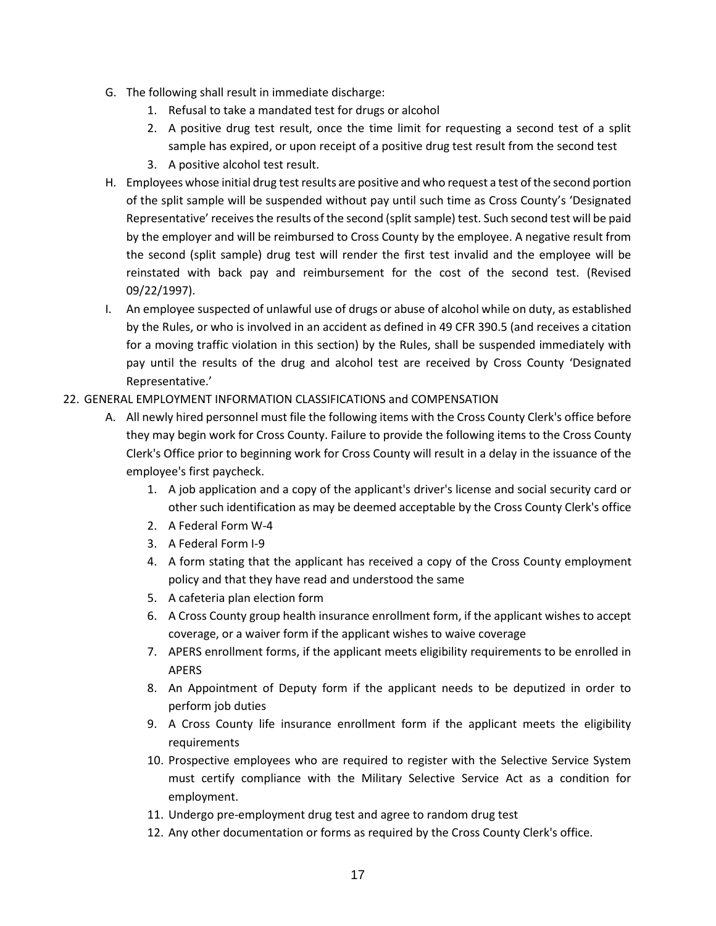- G. The following shall result in immediate discharge:
	- 1. Refusal to take a mandated test for drugs or alcohol
	- 2. A positive drug test result, once the time limit for requesting a second test of a split sample has expired, or upon receipt of a positive drug test result from the second test
	- 3. A positive alcohol test result.
- H. Employees whose initial drug test results are positive and who request a test of the second portion of the split sample will be suspended without pay until such time as Cross County's 'Designated Representative' receives the results of the second (split sample) test. Such second test will be paid by the employer and will be reimbursed to Cross County by the employee. A negative result from the second (split sample) drug test will render the first test invalid and the employee will be reinstated with back pay and reimbursement for the cost of the second test. (Revised 09/22/1997).
- I. An employee suspected of unlawful use of drugs or abuse of alcohol while on duty, as established by the Rules, or who is involved in an accident as defined in 49 CFR 390.5 (and receives a citation for a moving traffic violation in this section) by the Rules, shall be suspended immediately with pay until the results of the drug and alcohol test are received by Cross County 'Designated Representative.'

### <span id="page-19-0"></span>22. GENERAL EMPLOYMENT INFORMATION CLASSIFICATIONS and COMPENSATION

- A. All newly hired personnel must file the following items with the Cross County Clerk's office before they may begin work for Cross County. Failure to provide the following items to the Cross County Clerk's Office prior to beginning work for Cross County will result in a delay in the issuance of the employee's first paycheck.
	- 1. A job application and a copy of the applicant's driver's license and social security card or other such identification as may be deemed acceptable by the Cross County Clerk's office
	- 2. A Federal Form W-4
	- 3. A Federal Form I-9
	- 4. A form stating that the applicant has received a copy of the Cross County employment policy and that they have read and understood the same
	- 5. A cafeteria plan election form
	- 6. A Cross County group health insurance enrollment form, if the applicant wishes to accept coverage, or a waiver form if the applicant wishes to waive coverage
	- 7. APERS enrollment forms, if the applicant meets eligibility requirements to be enrolled in APERS
	- 8. An Appointment of Deputy form if the applicant needs to be deputized in order to perform job duties
	- 9. A Cross County life insurance enrollment form if the applicant meets the eligibility requirements
	- 10. Prospective employees who are required to register with the Selective Service System must certify compliance with the Military Selective Service Act as a condition for employment.
	- 11. Undergo pre-employment drug test and agree to random drug test
	- 12. Any other documentation or forms as required by the Cross County Clerk's office.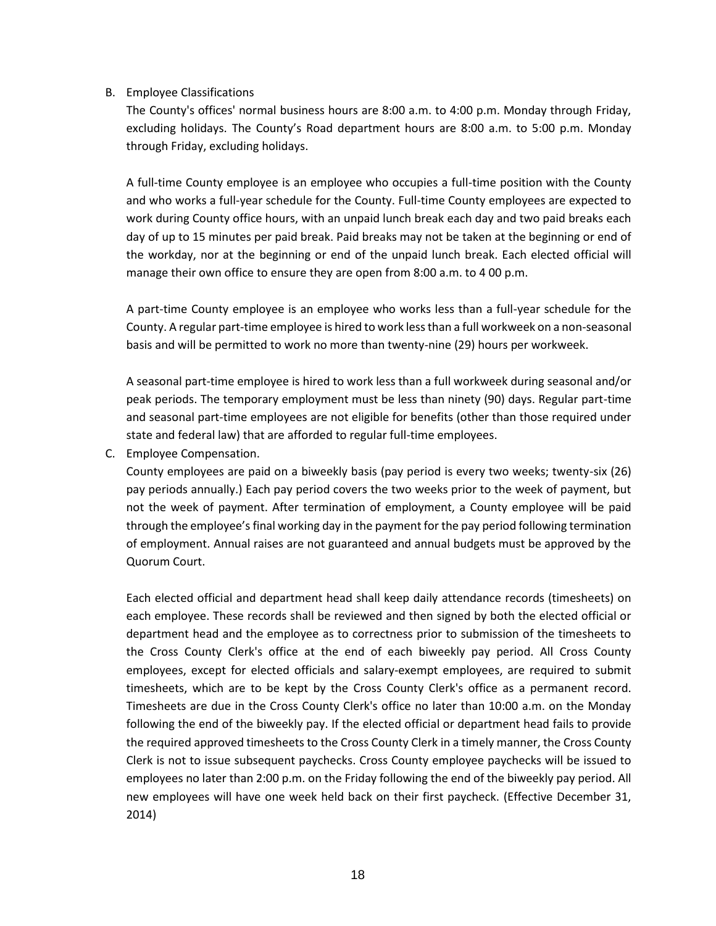#### B. Employee Classifications

The County's offices' normal business hours are 8:00 a.m. to 4:00 p.m. Monday through Friday, excluding holidays. The County's Road department hours are 8:00 a.m. to 5:00 p.m. Monday through Friday, excluding holidays.

A full-time County employee is an employee who occupies a full-time position with the County and who works a full-year schedule for the County. Full-time County employees are expected to work during County office hours, with an unpaid lunch break each day and two paid breaks each day of up to 15 minutes per paid break. Paid breaks may not be taken at the beginning or end of the workday, nor at the beginning or end of the unpaid lunch break. Each elected official will manage their own office to ensure they are open from 8:00 a.m. to 4 00 p.m.

A part-time County employee is an employee who works less than a full-year schedule for the County. A regular part-time employee is hired to work less than a full workweek on a non-seasonal basis and will be permitted to work no more than twenty-nine (29) hours per workweek.

A seasonal part-time employee is hired to work less than a full workweek during seasonal and/or peak periods. The temporary employment must be less than ninety (90) days. Regular part-time and seasonal part-time employees are not eligible for benefits (other than those required under state and federal law) that are afforded to regular full-time employees.

C. Employee Compensation.

County employees are paid on a biweekly basis (pay period is every two weeks; twenty-six (26) pay periods annually.) Each pay period covers the two weeks prior to the week of payment, but not the week of payment. After termination of employment, a County employee will be paid through the employee's final working day in the payment for the pay period following termination of employment. Annual raises are not guaranteed and annual budgets must be approved by the Quorum Court.

Each elected official and department head shall keep daily attendance records (timesheets) on each employee. These records shall be reviewed and then signed by both the elected official or department head and the employee as to correctness prior to submission of the timesheets to the Cross County Clerk's office at the end of each biweekly pay period. All Cross County employees, except for elected officials and salary-exempt employees, are required to submit timesheets, which are to be kept by the Cross County Clerk's office as a permanent record. Timesheets are due in the Cross County Clerk's office no later than 10:00 a.m. on the Monday following the end of the biweekly pay. If the elected official or department head fails to provide the required approved timesheets to the Cross County Clerk in a timely manner, the Cross County Clerk is not to issue subsequent paychecks. Cross County employee paychecks will be issued to employees no later than 2:00 p.m. on the Friday following the end of the biweekly pay period. All new employees will have one week held back on their first paycheck. (Effective December 31, 2014)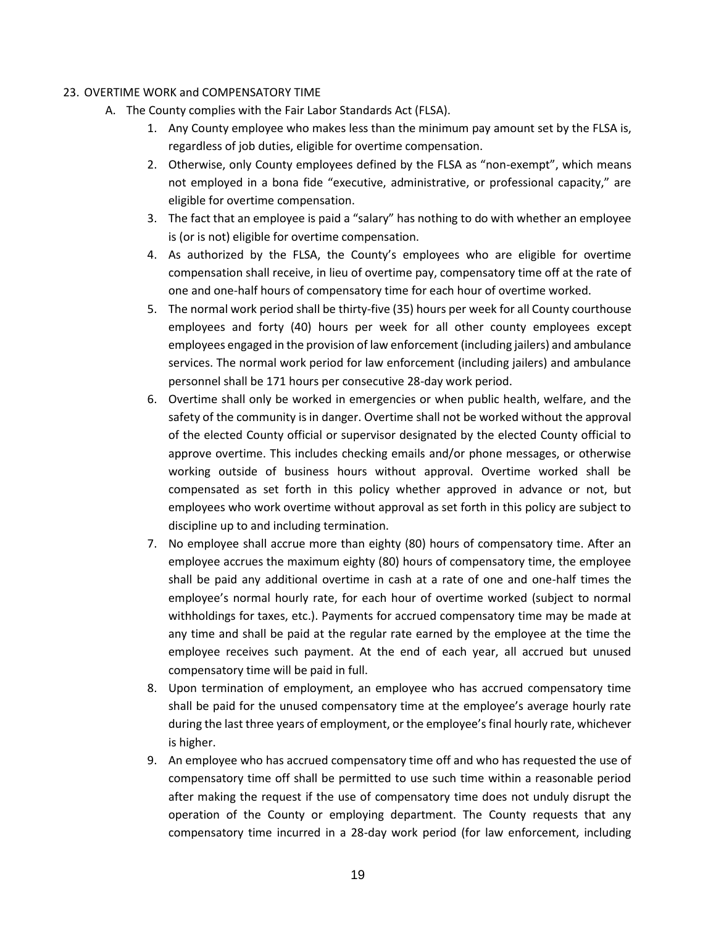#### <span id="page-21-0"></span>23. OVERTIME WORK and COMPENSATORY TIME

- A. The County complies with the Fair Labor Standards Act (FLSA).
	- 1. Any County employee who makes less than the minimum pay amount set by the FLSA is, regardless of job duties, eligible for overtime compensation.
	- 2. Otherwise, only County employees defined by the FLSA as "non-exempt", which means not employed in a bona fide "executive, administrative, or professional capacity," are eligible for overtime compensation.
	- 3. The fact that an employee is paid a "salary" has nothing to do with whether an employee is (or is not) eligible for overtime compensation.
	- 4. As authorized by the FLSA, the County's employees who are eligible for overtime compensation shall receive, in lieu of overtime pay, compensatory time off at the rate of one and one-half hours of compensatory time for each hour of overtime worked.
	- 5. The normal work period shall be thirty-five (35) hours per week for all County courthouse employees and forty (40) hours per week for all other county employees except employees engaged in the provision of law enforcement (including jailers) and ambulance services. The normal work period for law enforcement (including jailers) and ambulance personnel shall be 171 hours per consecutive 28-day work period.
	- 6. Overtime shall only be worked in emergencies or when public health, welfare, and the safety of the community is in danger. Overtime shall not be worked without the approval of the elected County official or supervisor designated by the elected County official to approve overtime. This includes checking emails and/or phone messages, or otherwise working outside of business hours without approval. Overtime worked shall be compensated as set forth in this policy whether approved in advance or not, but employees who work overtime without approval as set forth in this policy are subject to discipline up to and including termination.
	- 7. No employee shall accrue more than eighty (80) hours of compensatory time. After an employee accrues the maximum eighty (80) hours of compensatory time, the employee shall be paid any additional overtime in cash at a rate of one and one-half times the employee's normal hourly rate, for each hour of overtime worked (subject to normal withholdings for taxes, etc.). Payments for accrued compensatory time may be made at any time and shall be paid at the regular rate earned by the employee at the time the employee receives such payment. At the end of each year, all accrued but unused compensatory time will be paid in full.
	- 8. Upon termination of employment, an employee who has accrued compensatory time shall be paid for the unused compensatory time at the employee's average hourly rate during the last three years of employment, or the employee's final hourly rate, whichever is higher.
	- 9. An employee who has accrued compensatory time off and who has requested the use of compensatory time off shall be permitted to use such time within a reasonable period after making the request if the use of compensatory time does not unduly disrupt the operation of the County or employing department. The County requests that any compensatory time incurred in a 28-day work period (for law enforcement, including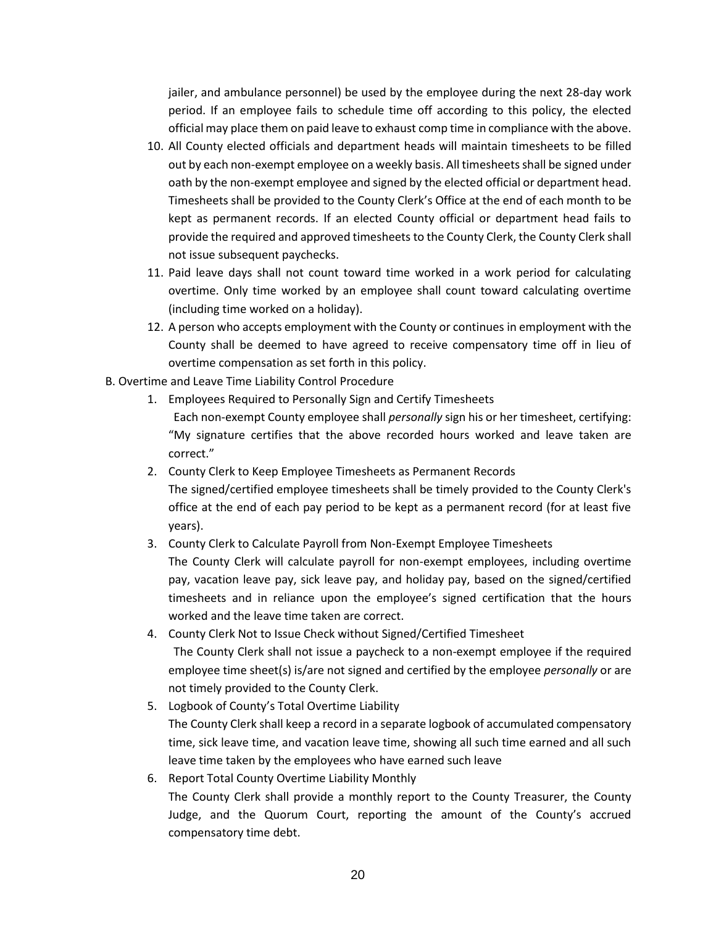jailer, and ambulance personnel) be used by the employee during the next 28-day work period. If an employee fails to schedule time off according to this policy, the elected official may place them on paid leave to exhaust comp time in compliance with the above.

- 10. All County elected officials and department heads will maintain timesheets to be filled out by each non-exempt employee on a weekly basis. All timesheets shall be signed under oath by the non-exempt employee and signed by the elected official or department head. Timesheets shall be provided to the County Clerk's Office at the end of each month to be kept as permanent records. If an elected County official or department head fails to provide the required and approved timesheets to the County Clerk, the County Clerk shall not issue subsequent paychecks.
- 11. Paid leave days shall not count toward time worked in a work period for calculating overtime. Only time worked by an employee shall count toward calculating overtime (including time worked on a holiday).
- 12. A person who accepts employment with the County or continues in employment with the County shall be deemed to have agreed to receive compensatory time off in lieu of overtime compensation as set forth in this policy.
- B. Overtime and Leave Time Liability Control Procedure
	- 1. Employees Required to Personally Sign and Certify Timesheets Each non-exempt County employee shall *personally* sign his or her timesheet, certifying: "My signature certifies that the above recorded hours worked and leave taken are correct."
	- 2. County Clerk to Keep Employee Timesheets as Permanent Records
		- The signed/certified employee timesheets shall be timely provided to the County Clerk's office at the end of each pay period to be kept as a permanent record (for at least five years).
	- 3. County Clerk to Calculate Payroll from Non-Exempt Employee Timesheets The County Clerk will calculate payroll for non-exempt employees, including overtime pay, vacation leave pay, sick leave pay, and holiday pay, based on the signed/certified timesheets and in reliance upon the employee's signed certification that the hours worked and the leave time taken are correct.
	- 4. County Clerk Not to Issue Check without Signed/Certified Timesheet The County Clerk shall not issue a paycheck to a non-exempt employee if the required employee time sheet(s) is/are not signed and certified by the employee *personally* or are not timely provided to the County Clerk.
	- 5. Logbook of County's Total Overtime Liability The County Clerk shall keep a record in a separate logbook of accumulated compensatory time, sick leave time, and vacation leave time, showing all such time earned and all such leave time taken by the employees who have earned such leave
	- 6. Report Total County Overtime Liability Monthly The County Clerk shall provide a monthly report to the County Treasurer, the County Judge, and the Quorum Court, reporting the amount of the County's accrued compensatory time debt.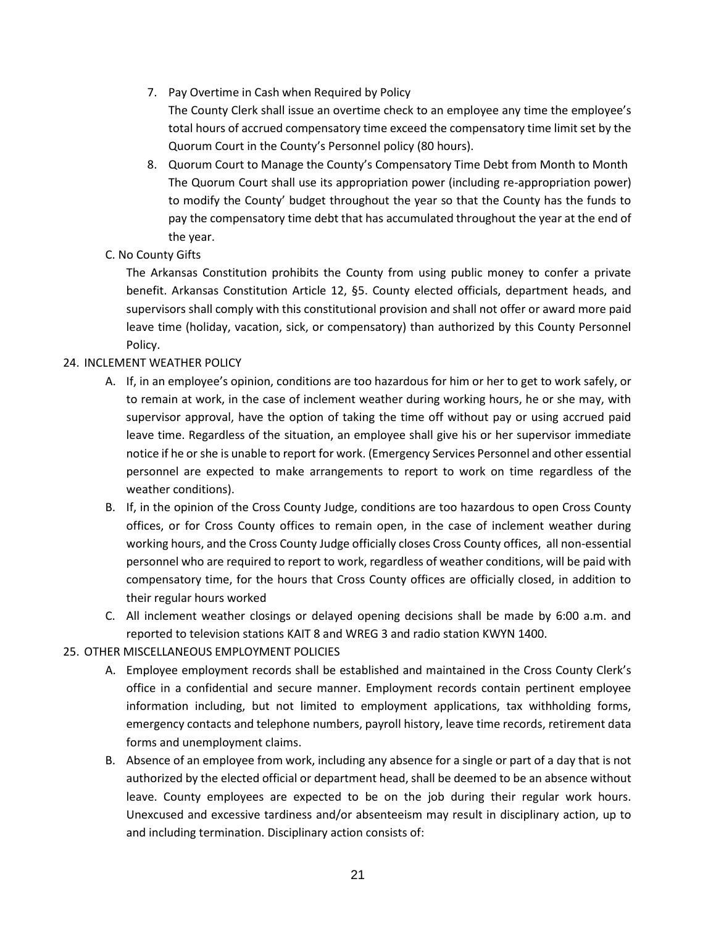- 7. Pay Overtime in Cash when Required by Policy The County Clerk shall issue an overtime check to an employee any time the employee's total hours of accrued compensatory time exceed the compensatory time limit set by the Quorum Court in the County's Personnel policy (80 hours).
- 8. Quorum Court to Manage the County's Compensatory Time Debt from Month to Month The Quorum Court shall use its appropriation power (including re-appropriation power) to modify the County' budget throughout the year so that the County has the funds to pay the compensatory time debt that has accumulated throughout the year at the end of the year.
- C. No County Gifts

The Arkansas Constitution prohibits the County from using public money to confer a private benefit. Arkansas Constitution Article 12, §5. County elected officials, department heads, and supervisors shall comply with this constitutional provision and shall not offer or award more paid leave time (holiday, vacation, sick, or compensatory) than authorized by this County Personnel Policy.

# <span id="page-23-0"></span>24. INCLEMENT WEATHER POLICY

- A. If, in an employee's opinion, conditions are too hazardous for him or her to get to work safely, or to remain at work, in the case of inclement weather during working hours, he or she may, with supervisor approval, have the option of taking the time off without pay or using accrued paid leave time. Regardless of the situation, an employee shall give his or her supervisor immediate notice if he or she is unable to report for work. (Emergency Services Personnel and other essential personnel are expected to make arrangements to report to work on time regardless of the weather conditions).
- B. If, in the opinion of the Cross County Judge, conditions are too hazardous to open Cross County offices, or for Cross County offices to remain open, in the case of inclement weather during working hours, and the Cross County Judge officially closes Cross County offices, all non-essential personnel who are required to report to work, regardless of weather conditions, will be paid with compensatory time, for the hours that Cross County offices are officially closed, in addition to their regular hours worked
- C. All inclement weather closings or delayed opening decisions shall be made by 6:00 a.m. and reported to television stations KAIT 8 and WREG 3 and radio station KWYN 1400.
- <span id="page-23-1"></span>25. OTHER MISCELLANEOUS EMPLOYMENT POLICIES
	- A. Employee employment records shall be established and maintained in the Cross County Clerk's office in a confidential and secure manner. Employment records contain pertinent employee information including, but not limited to employment applications, tax withholding forms, emergency contacts and telephone numbers, payroll history, leave time records, retirement data forms and unemployment claims.
	- B. Absence of an employee from work, including any absence for a single or part of a day that is not authorized by the elected official or department head, shall be deemed to be an absence without leave. County employees are expected to be on the job during their regular work hours. Unexcused and excessive tardiness and/or absenteeism may result in disciplinary action, up to and including termination. Disciplinary action consists of: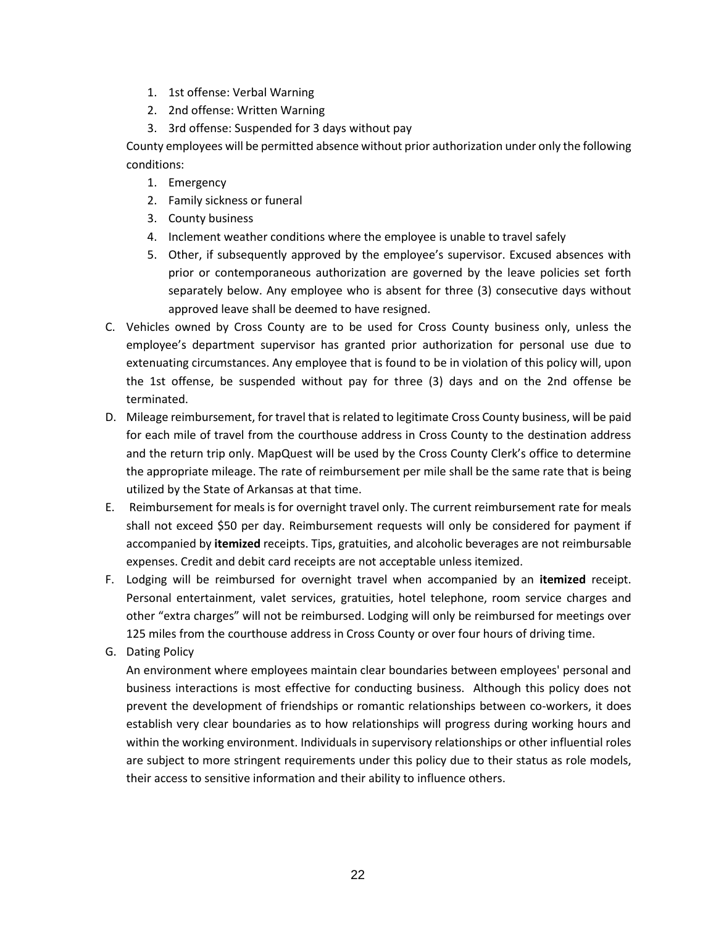- 1. 1st offense: Verbal Warning
- 2. 2nd offense: Written Warning
- 3. 3rd offense: Suspended for 3 days without pay

County employees will be permitted absence without prior authorization under only the following conditions:

- 1. Emergency
- 2. Family sickness or funeral
- 3. County business
- 4. Inclement weather conditions where the employee is unable to travel safely
- 5. Other, if subsequently approved by the employee's supervisor. Excused absences with prior or contemporaneous authorization are governed by the leave policies set forth separately below. Any employee who is absent for three (3) consecutive days without approved leave shall be deemed to have resigned.
- C. Vehicles owned by Cross County are to be used for Cross County business only, unless the employee's department supervisor has granted prior authorization for personal use due to extenuating circumstances. Any employee that is found to be in violation of this policy will, upon the 1st offense, be suspended without pay for three (3) days and on the 2nd offense be terminated.
- D. Mileage reimbursement, for travel that is related to legitimate Cross County business, will be paid for each mile of travel from the courthouse address in Cross County to the destination address and the return trip only. MapQuest will be used by the Cross County Clerk's office to determine the appropriate mileage. The rate of reimbursement per mile shall be the same rate that is being utilized by the State of Arkansas at that time.
- E. Reimbursement for meals is for overnight travel only. The current reimbursement rate for meals shall not exceed \$50 per day. Reimbursement requests will only be considered for payment if accompanied by **itemized** receipts. Tips, gratuities, and alcoholic beverages are not reimbursable expenses. Credit and debit card receipts are not acceptable unless itemized.
- F. Lodging will be reimbursed for overnight travel when accompanied by an **itemized** receipt. Personal entertainment, valet services, gratuities, hotel telephone, room service charges and other "extra charges" will not be reimbursed. Lodging will only be reimbursed for meetings over 125 miles from the courthouse address in Cross County or over four hours of driving time.
- G. Dating Policy

An environment where employees maintain clear boundaries between employees' personal and business interactions is most effective for conducting business. Although this policy does not prevent the development of friendships or romantic relationships between co-workers, it does establish very clear boundaries as to how relationships will progress during working hours and within the working environment. Individuals in supervisory relationships or other influential roles are subject to more stringent requirements under this policy due to their status as role models, their access to sensitive information and their ability to influence others.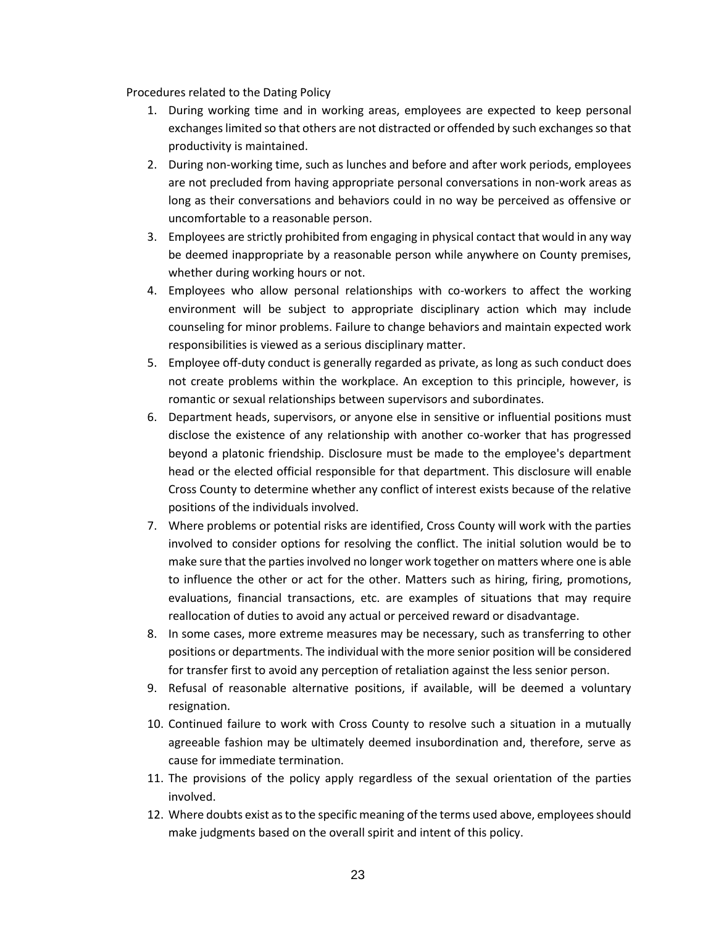Procedures related to the Dating Policy

- 1. During working time and in working areas, employees are expected to keep personal exchanges limited so that others are not distracted or offended by such exchanges so that productivity is maintained.
- 2. During non-working time, such as lunches and before and after work periods, employees are not precluded from having appropriate personal conversations in non-work areas as long as their conversations and behaviors could in no way be perceived as offensive or uncomfortable to a reasonable person.
- 3. Employees are strictly prohibited from engaging in physical contact that would in any way be deemed inappropriate by a reasonable person while anywhere on County premises, whether during working hours or not.
- 4. Employees who allow personal relationships with co-workers to affect the working environment will be subject to appropriate disciplinary action which may include counseling for minor problems. Failure to change behaviors and maintain expected work responsibilities is viewed as a serious disciplinary matter.
- 5. Employee off-duty conduct is generally regarded as private, as long as such conduct does not create problems within the workplace. An exception to this principle, however, is romantic or sexual relationships between supervisors and subordinates.
- 6. Department heads, supervisors, or anyone else in sensitive or influential positions must disclose the existence of any relationship with another co-worker that has progressed beyond a platonic friendship. Disclosure must be made to the employee's department head or the elected official responsible for that department. This disclosure will enable Cross County to determine whether any conflict of interest exists because of the relative positions of the individuals involved.
- 7. Where problems or potential risks are identified, Cross County will work with the parties involved to consider options for resolving the conflict. The initial solution would be to make sure that the parties involved no longer work together on matters where one is able to influence the other or act for the other. Matters such as hiring, firing, promotions, evaluations, financial transactions, etc. are examples of situations that may require reallocation of duties to avoid any actual or perceived reward or disadvantage.
- 8. In some cases, more extreme measures may be necessary, such as transferring to other positions or departments. The individual with the more senior position will be considered for transfer first to avoid any perception of retaliation against the less senior person.
- 9. Refusal of reasonable alternative positions, if available, will be deemed a voluntary resignation.
- 10. Continued failure to work with Cross County to resolve such a situation in a mutually agreeable fashion may be ultimately deemed insubordination and, therefore, serve as cause for immediate termination.
- 11. The provisions of the policy apply regardless of the sexual orientation of the parties involved.
- 12. Where doubts exist as to the specific meaning of the terms used above, employees should make judgments based on the overall spirit and intent of this policy.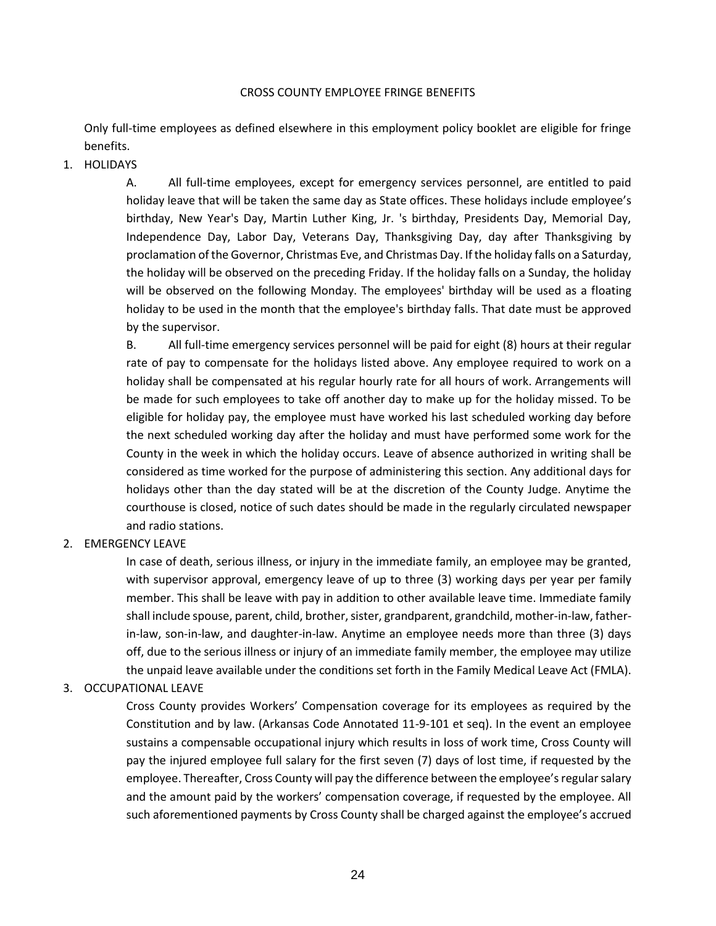#### CROSS COUNTY EMPLOYEE FRINGE BENEFITS

Only full-time employees as defined elsewhere in this employment policy booklet are eligible for fringe benefits.

### <span id="page-26-0"></span>1. HOLIDAYS

A. All full-time employees, except for emergency services personnel, are entitled to paid holiday leave that will be taken the same day as State offices. These holidays include employee's birthday, New Year's Day, Martin Luther King, Jr. 's birthday, Presidents Day, Memorial Day, Independence Day, Labor Day, Veterans Day, Thanksgiving Day, day after Thanksgiving by proclamation of the Governor, Christmas Eve, and Christmas Day. If the holiday falls on a Saturday, the holiday will be observed on the preceding Friday. If the holiday falls on a Sunday, the holiday will be observed on the following Monday. The employees' birthday will be used as a floating holiday to be used in the month that the employee's birthday falls. That date must be approved by the supervisor.

B. All full-time emergency services personnel will be paid for eight (8) hours at their regular rate of pay to compensate for the holidays listed above. Any employee required to work on a holiday shall be compensated at his regular hourly rate for all hours of work. Arrangements will be made for such employees to take off another day to make up for the holiday missed. To be eligible for holiday pay, the employee must have worked his last scheduled working day before the next scheduled working day after the holiday and must have performed some work for the County in the week in which the holiday occurs. Leave of absence authorized in writing shall be considered as time worked for the purpose of administering this section. Any additional days for holidays other than the day stated will be at the discretion of the County Judge. Anytime the courthouse is closed, notice of such dates should be made in the regularly circulated newspaper and radio stations.

## <span id="page-26-1"></span>2. EMERGENCY LEAVE

In case of death, serious illness, or injury in the immediate family, an employee may be granted, with supervisor approval, emergency leave of up to three (3) working days per year per family member. This shall be leave with pay in addition to other available leave time. Immediate family shall include spouse, parent, child, brother, sister, grandparent, grandchild, mother-in-law, fatherin-law, son-in-law, and daughter-in-law. Anytime an employee needs more than three (3) days off, due to the serious illness or injury of an immediate family member, the employee may utilize the unpaid leave available under the conditions set forth in the Family Medical Leave Act (FMLA).

## <span id="page-26-2"></span>3. OCCUPATIONAL LEAVE

Cross County provides Workers' Compensation coverage for its employees as required by the Constitution and by law. (Arkansas Code Annotated 11-9-101 et seq). In the event an employee sustains a compensable occupational injury which results in loss of work time, Cross County will pay the injured employee full salary for the first seven (7) days of lost time, if requested by the employee. Thereafter, Cross County will pay the difference between the employee's regular salary and the amount paid by the workers' compensation coverage, if requested by the employee. All such aforementioned payments by Cross County shall be charged against the employee's accrued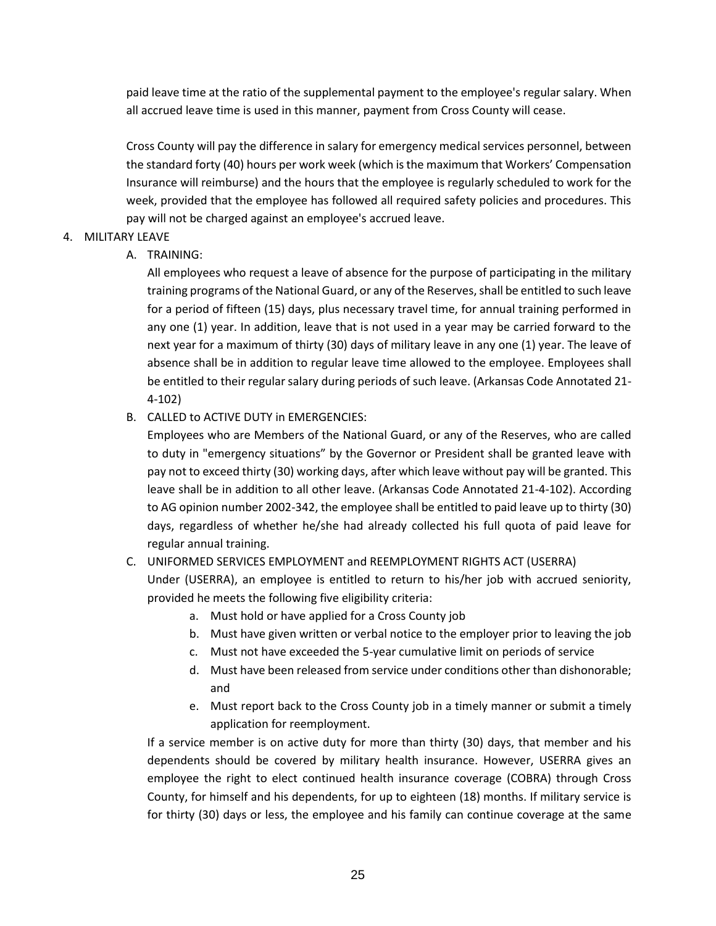paid leave time at the ratio of the supplemental payment to the employee's regular salary. When all accrued leave time is used in this manner, payment from Cross County will cease.

Cross County will pay the difference in salary for emergency medical services personnel, between the standard forty (40) hours per work week (which is the maximum that Workers' Compensation Insurance will reimburse) and the hours that the employee is regularly scheduled to work for the week, provided that the employee has followed all required safety policies and procedures. This pay will not be charged against an employee's accrued leave.

# <span id="page-27-0"></span>4. MILITARY LEAVE

## A. TRAINING:

All employees who request a leave of absence for the purpose of participating in the military training programs of the National Guard, or any of the Reserves, shall be entitled to such leave for a period of fifteen (15) days, plus necessary travel time, for annual training performed in any one (1) year. In addition, leave that is not used in a year may be carried forward to the next year for a maximum of thirty (30) days of military leave in any one (1) year. The leave of absence shall be in addition to regular leave time allowed to the employee. Employees shall be entitled to their regular salary during periods of such leave. (Arkansas Code Annotated 21- 4-102)

# B. CALLED to ACTIVE DUTY in EMERGENCIES:

Employees who are Members of the National Guard, or any of the Reserves, who are called to duty in "emergency situations" by the Governor or President shall be granted leave with pay not to exceed thirty (30) working days, after which leave without pay will be granted. This leave shall be in addition to all other leave. (Arkansas Code Annotated 21-4-102). According to AG opinion number 2002-342, the employee shall be entitled to paid leave up to thirty (30) days, regardless of whether he/she had already collected his full quota of paid leave for regular annual training.

## C. UNIFORMED SERVICES EMPLOYMENT and REEMPLOYMENT RIGHTS ACT (USERRA)

Under (USERRA), an employee is entitled to return to his/her job with accrued seniority, provided he meets the following five eligibility criteria:

- a. Must hold or have applied for a Cross County job
- b. Must have given written or verbal notice to the employer prior to leaving the job
- c. Must not have exceeded the 5-year cumulative limit on periods of service
- d. Must have been released from service under conditions other than dishonorable; and
- e. Must report back to the Cross County job in a timely manner or submit a timely application for reemployment.

If a service member is on active duty for more than thirty (30) days, that member and his dependents should be covered by military health insurance. However, USERRA gives an employee the right to elect continued health insurance coverage (COBRA) through Cross County, for himself and his dependents, for up to eighteen (18) months. If military service is for thirty (30) days or less, the employee and his family can continue coverage at the same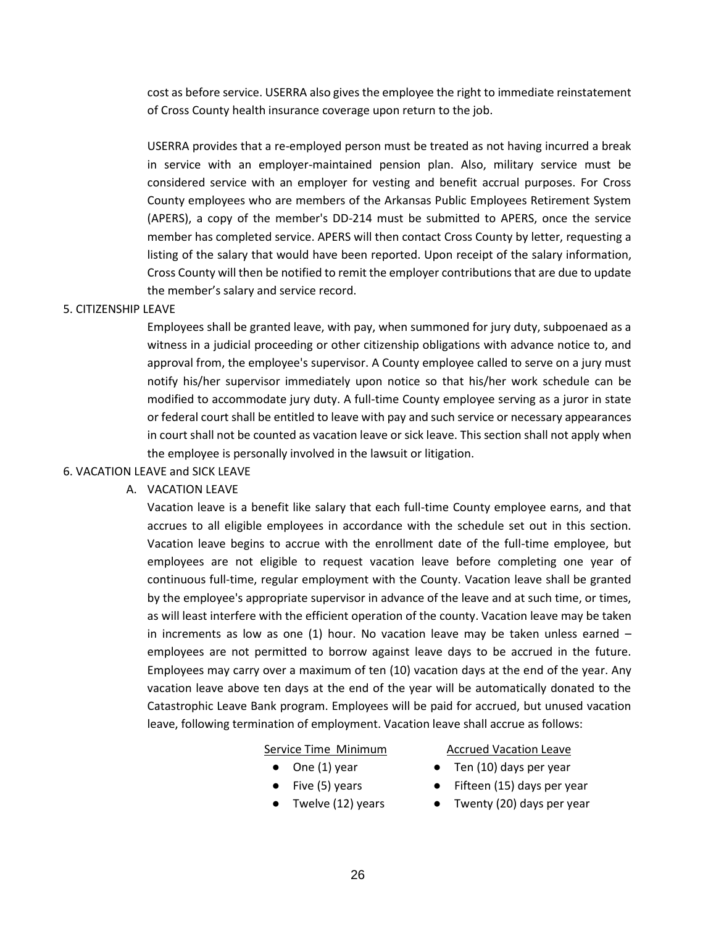cost as before service. USERRA also gives the employee the right to immediate reinstatement of Cross County health insurance coverage upon return to the job.

USERRA provides that a re-employed person must be treated as not having incurred a break in service with an employer-maintained pension plan. Also, military service must be considered service with an employer for vesting and benefit accrual purposes. For Cross County employees who are members of the Arkansas Public Employees Retirement System (APERS), a copy of the member's DD-214 must be submitted to APERS, once the service member has completed service. APERS will then contact Cross County by letter, requesting a listing of the salary that would have been reported. Upon receipt of the salary information, Cross County will then be notified to remit the employer contributions that are due to update the member's salary and service record.

#### <span id="page-28-0"></span>5. CITIZENSHIP LEAVE

Employees shall be granted leave, with pay, when summoned for jury duty, subpoenaed as a witness in a judicial proceeding or other citizenship obligations with advance notice to, and approval from, the employee's supervisor. A County employee called to serve on a jury must notify his/her supervisor immediately upon notice so that his/her work schedule can be modified to accommodate jury duty. A full-time County employee serving as a juror in state or federal court shall be entitled to leave with pay and such service or necessary appearances in court shall not be counted as vacation leave or sick leave. This section shall not apply when the employee is personally involved in the lawsuit or litigation.

#### <span id="page-28-1"></span>6. VACATION LEAVE and SICK LEAVE

#### A. VACATION LEAVE

Vacation leave is a benefit like salary that each full-time County employee earns, and that accrues to all eligible employees in accordance with the schedule set out in this section. Vacation leave begins to accrue with the enrollment date of the full-time employee, but employees are not eligible to request vacation leave before completing one year of continuous full-time, regular employment with the County. Vacation leave shall be granted by the employee's appropriate supervisor in advance of the leave and at such time, or times, as will least interfere with the efficient operation of the county. Vacation leave may be taken in increments as low as one  $(1)$  hour. No vacation leave may be taken unless earned  $$ employees are not permitted to borrow against leave days to be accrued in the future. Employees may carry over a maximum of ten (10) vacation days at the end of the year. Any vacation leave above ten days at the end of the year will be automatically donated to the Catastrophic Leave Bank program. Employees will be paid for accrued, but unused vacation leave, following termination of employment. Vacation leave shall accrue as follows:

#### Service Time Minimum

- $\bullet$  One (1) year
- Five (5) years
- Twelve (12) years

Accrued Vacation Leave

- $\bullet$  Ten (10) days per year
- Fifteen (15) days per year
- Twenty (20) days per year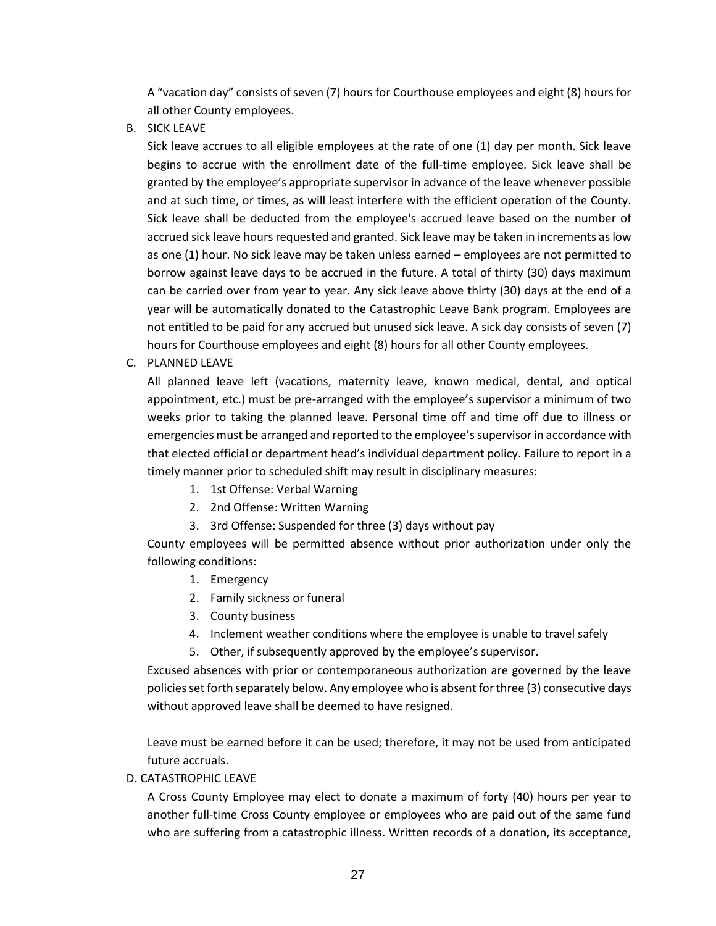A "vacation day" consists of seven (7) hours for Courthouse employees and eight (8) hours for all other County employees.

B. SICK LEAVE

Sick leave accrues to all eligible employees at the rate of one (1) day per month. Sick leave begins to accrue with the enrollment date of the full-time employee. Sick leave shall be granted by the employee's appropriate supervisor in advance of the leave whenever possible and at such time, or times, as will least interfere with the efficient operation of the County. Sick leave shall be deducted from the employee's accrued leave based on the number of accrued sick leave hours requested and granted. Sick leave may be taken in increments as low as one (1) hour. No sick leave may be taken unless earned – employees are not permitted to borrow against leave days to be accrued in the future. A total of thirty (30) days maximum can be carried over from year to year. Any sick leave above thirty (30) days at the end of a year will be automatically donated to the Catastrophic Leave Bank program. Employees are not entitled to be paid for any accrued but unused sick leave. A sick day consists of seven (7) hours for Courthouse employees and eight (8) hours for all other County employees.

C. PLANNED LEAVE

All planned leave left (vacations, maternity leave, known medical, dental, and optical appointment, etc.) must be pre-arranged with the employee's supervisor a minimum of two weeks prior to taking the planned leave. Personal time off and time off due to illness or emergencies must be arranged and reported to the employee's supervisor in accordance with that elected official or department head's individual department policy. Failure to report in a timely manner prior to scheduled shift may result in disciplinary measures:

- 1. 1st Offense: Verbal Warning
- 2. 2nd Offense: Written Warning
- 3. 3rd Offense: Suspended for three (3) days without pay

County employees will be permitted absence without prior authorization under only the following conditions:

- 1. Emergency
- 2. Family sickness or funeral
- 3. County business
- 4. Inclement weather conditions where the employee is unable to travel safely
- 5. Other, if subsequently approved by the employee's supervisor.

Excused absences with prior or contemporaneous authorization are governed by the leave policies set forth separately below. Any employee who is absent for three (3) consecutive days without approved leave shall be deemed to have resigned.

Leave must be earned before it can be used; therefore, it may not be used from anticipated future accruals.

D. CATASTROPHIC LEAVE

A Cross County Employee may elect to donate a maximum of forty (40) hours per year to another full-time Cross County employee or employees who are paid out of the same fund who are suffering from a catastrophic illness. Written records of a donation, its acceptance,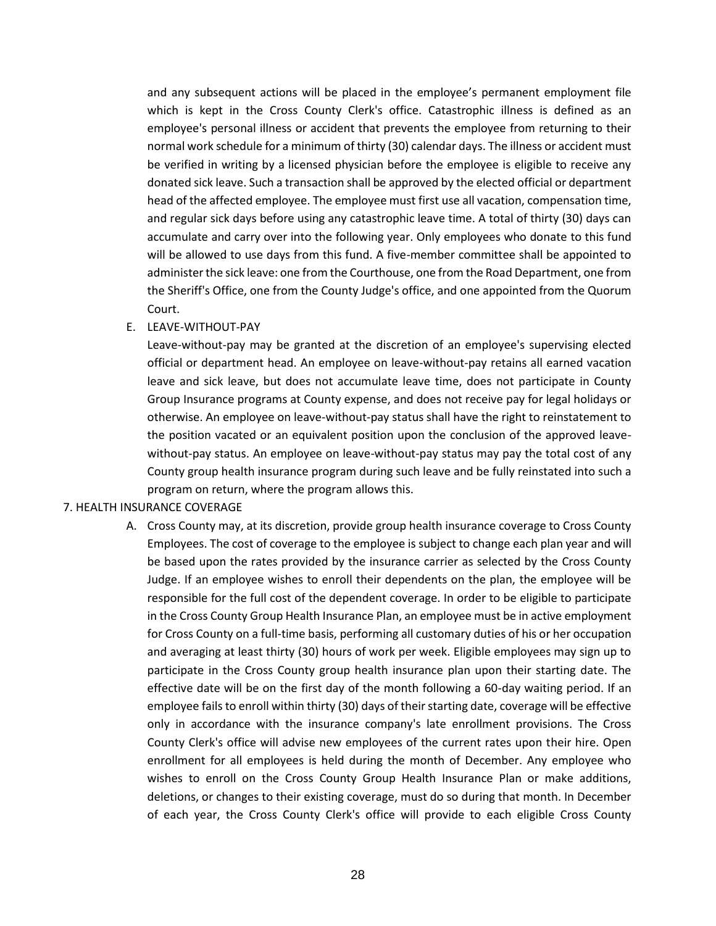and any subsequent actions will be placed in the employee's permanent employment file which is kept in the Cross County Clerk's office. Catastrophic illness is defined as an employee's personal illness or accident that prevents the employee from returning to their normal work schedule for a minimum of thirty (30) calendar days. The illness or accident must be verified in writing by a licensed physician before the employee is eligible to receive any donated sick leave. Such a transaction shall be approved by the elected official or department head of the affected employee. The employee must first use all vacation, compensation time, and regular sick days before using any catastrophic leave time. A total of thirty (30) days can accumulate and carry over into the following year. Only employees who donate to this fund will be allowed to use days from this fund. A five-member committee shall be appointed to administer the sick leave: one from the Courthouse, one from the Road Department, one from the Sheriff's Office, one from the County Judge's office, and one appointed from the Quorum Court.

#### E. LEAVE-WITHOUT-PAY

Leave-without-pay may be granted at the discretion of an employee's supervising elected official or department head. An employee on leave-without-pay retains all earned vacation leave and sick leave, but does not accumulate leave time, does not participate in County Group Insurance programs at County expense, and does not receive pay for legal holidays or otherwise. An employee on leave-without-pay status shall have the right to reinstatement to the position vacated or an equivalent position upon the conclusion of the approved leavewithout-pay status. An employee on leave-without-pay status may pay the total cost of any County group health insurance program during such leave and be fully reinstated into such a program on return, where the program allows this.

#### <span id="page-30-0"></span>7. HEALTH INSURANCE COVERAGE

A. Cross County may, at its discretion, provide group health insurance coverage to Cross County Employees. The cost of coverage to the employee is subject to change each plan year and will be based upon the rates provided by the insurance carrier as selected by the Cross County Judge. If an employee wishes to enroll their dependents on the plan, the employee will be responsible for the full cost of the dependent coverage. In order to be eligible to participate in the Cross County Group Health Insurance Plan, an employee must be in active employment for Cross County on a full-time basis, performing all customary duties of his or her occupation and averaging at least thirty (30) hours of work per week. Eligible employees may sign up to participate in the Cross County group health insurance plan upon their starting date. The effective date will be on the first day of the month following a 60-day waiting period. If an employee fails to enroll within thirty (30) days of their starting date, coverage will be effective only in accordance with the insurance company's late enrollment provisions. The Cross County Clerk's office will advise new employees of the current rates upon their hire. Open enrollment for all employees is held during the month of December. Any employee who wishes to enroll on the Cross County Group Health Insurance Plan or make additions, deletions, or changes to their existing coverage, must do so during that month. In December of each year, the Cross County Clerk's office will provide to each eligible Cross County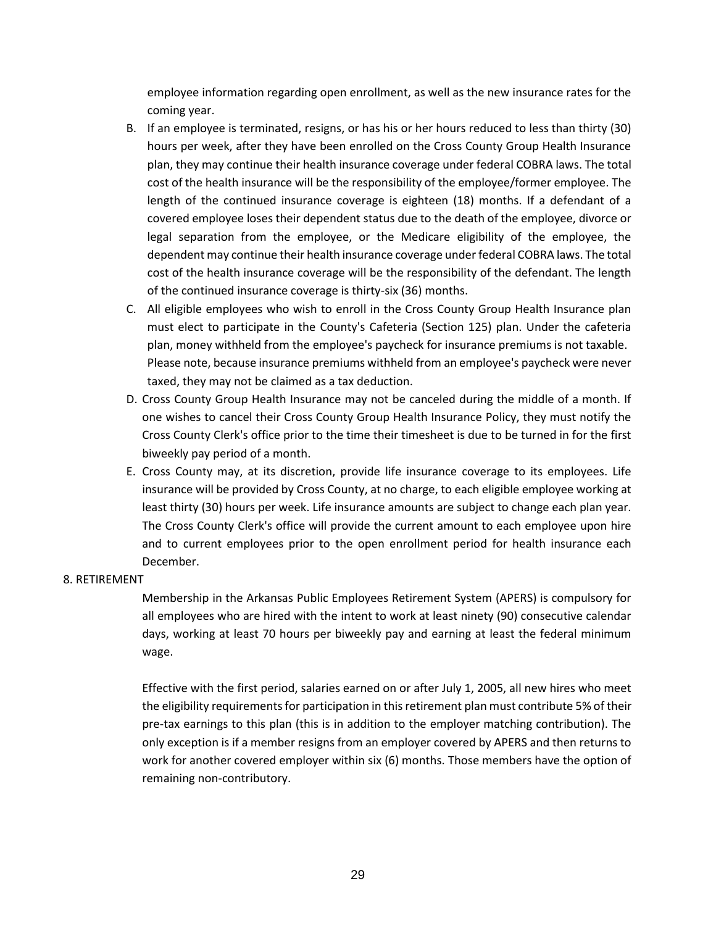employee information regarding open enrollment, as well as the new insurance rates for the coming year.

- B. If an employee is terminated, resigns, or has his or her hours reduced to less than thirty (30) hours per week, after they have been enrolled on the Cross County Group Health Insurance plan, they may continue their health insurance coverage under federal COBRA laws. The total cost of the health insurance will be the responsibility of the employee/former employee. The length of the continued insurance coverage is eighteen (18) months. If a defendant of a covered employee loses their dependent status due to the death of the employee, divorce or legal separation from the employee, or the Medicare eligibility of the employee, the dependent may continue their health insurance coverage under federal COBRA laws. The total cost of the health insurance coverage will be the responsibility of the defendant. The length of the continued insurance coverage is thirty-six (36) months.
- C. All eligible employees who wish to enroll in the Cross County Group Health Insurance plan must elect to participate in the County's Cafeteria (Section 125) plan. Under the cafeteria plan, money withheld from the employee's paycheck for insurance premiums is not taxable. Please note, because insurance premiums withheld from an employee's paycheck were never taxed, they may not be claimed as a tax deduction.
- D. Cross County Group Health Insurance may not be canceled during the middle of a month. If one wishes to cancel their Cross County Group Health Insurance Policy, they must notify the Cross County Clerk's office prior to the time their timesheet is due to be turned in for the first biweekly pay period of a month.
- E. Cross County may, at its discretion, provide life insurance coverage to its employees. Life insurance will be provided by Cross County, at no charge, to each eligible employee working at least thirty (30) hours per week. Life insurance amounts are subject to change each plan year. The Cross County Clerk's office will provide the current amount to each employee upon hire and to current employees prior to the open enrollment period for health insurance each December.

#### <span id="page-31-0"></span>8. RETIREMENT

Membership in the Arkansas Public Employees Retirement System (APERS) is compulsory for all employees who are hired with the intent to work at least ninety (90) consecutive calendar days, working at least 70 hours per biweekly pay and earning at least the federal minimum wage.

Effective with the first period, salaries earned on or after July 1, 2005, all new hires who meet the eligibility requirements for participation in this retirement plan must contribute 5% of their pre-tax earnings to this plan (this is in addition to the employer matching contribution). The only exception is if a member resigns from an employer covered by APERS and then returns to work for another covered employer within six (6) months. Those members have the option of remaining non-contributory.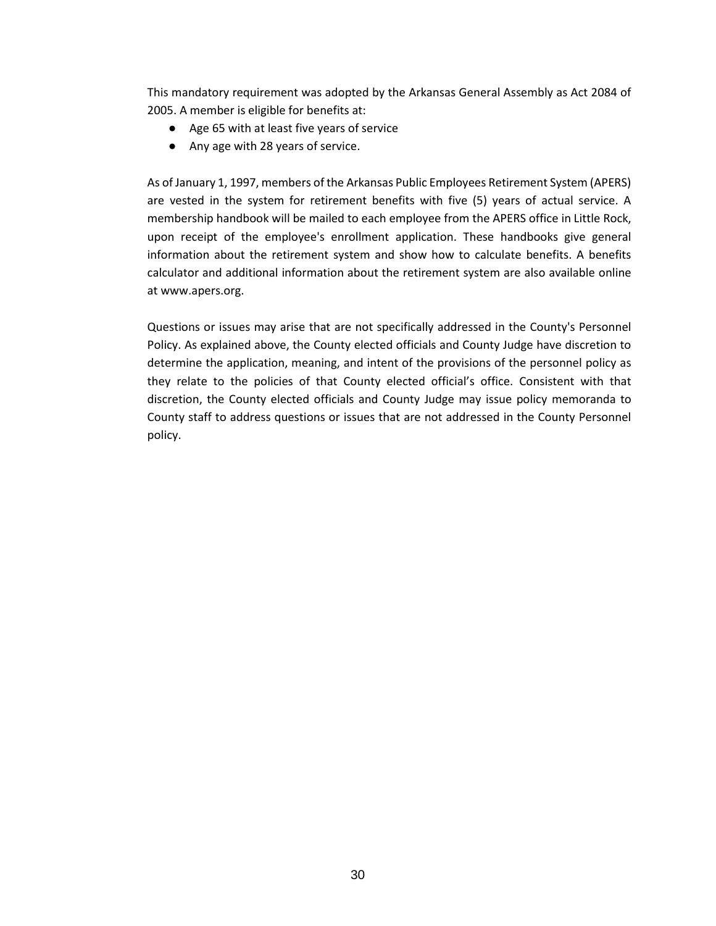This mandatory requirement was adopted by the Arkansas General Assembly as Act 2084 of 2005. A member is eligible for benefits at:

- Age 65 with at least five years of service
- Any age with 28 years of service.

As of January 1, 1997, members of the Arkansas Public Employees Retirement System (APERS) are vested in the system for retirement benefits with five (5) years of actual service. A membership handbook will be mailed to each employee from the APERS office in Little Rock, upon receipt of the employee's enrollment application. These handbooks give general information about the retirement system and show how to calculate benefits. A benefits calculator and additional information about the retirement system are also available online at www.apers.org.

Questions or issues may arise that are not specifically addressed in the County's Personnel Policy. As explained above, the County elected officials and County Judge have discretion to determine the application, meaning, and intent of the provisions of the personnel policy as they relate to the policies of that County elected official's office. Consistent with that discretion, the County elected officials and County Judge may issue policy memoranda to County staff to address questions or issues that are not addressed in the County Personnel policy.